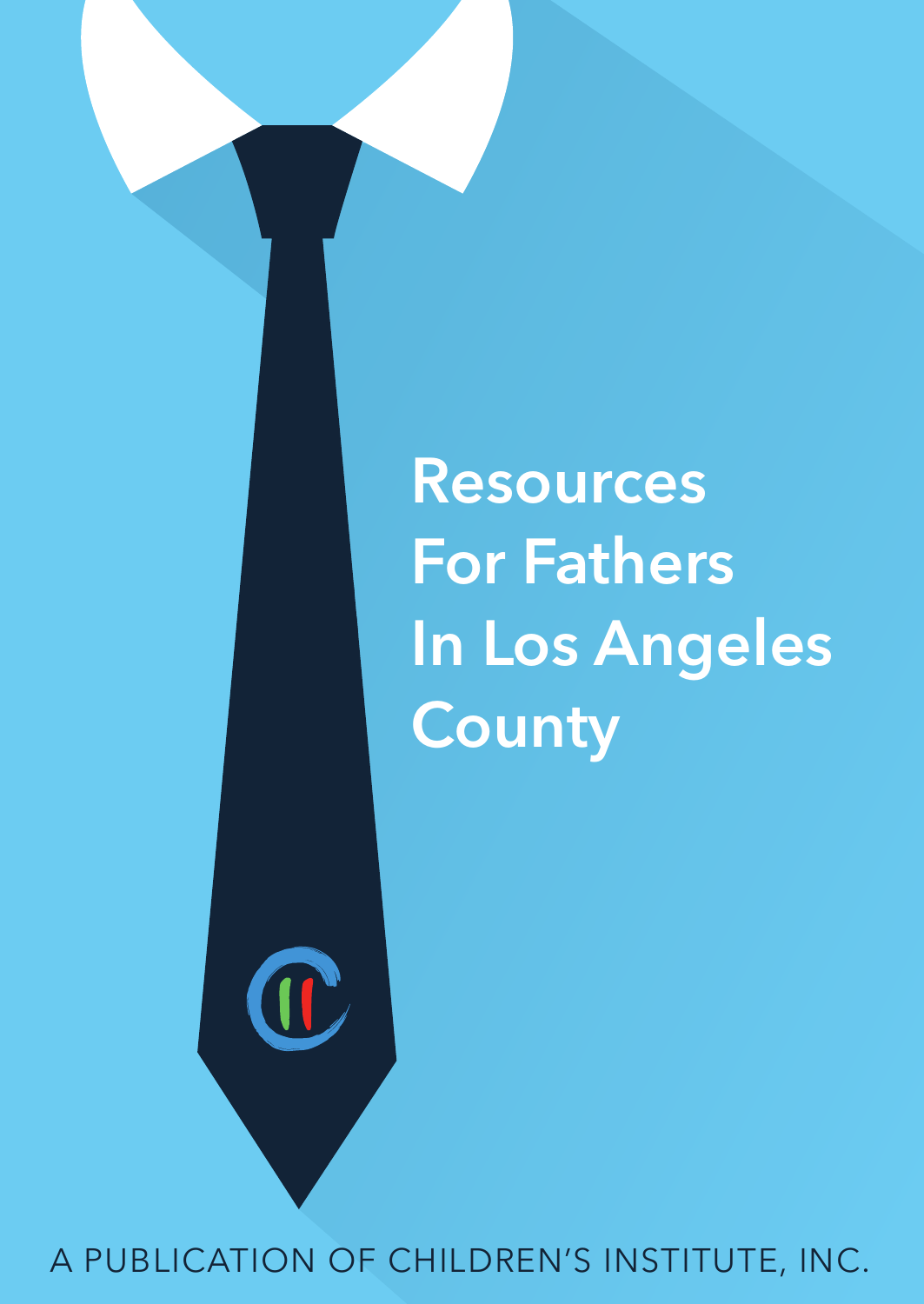Resources For Fathers In Los Angeles **County** 

A PUBLICATION OF CHILDREN'S INSTITUTE, INC.

 $\prod_{\alpha}$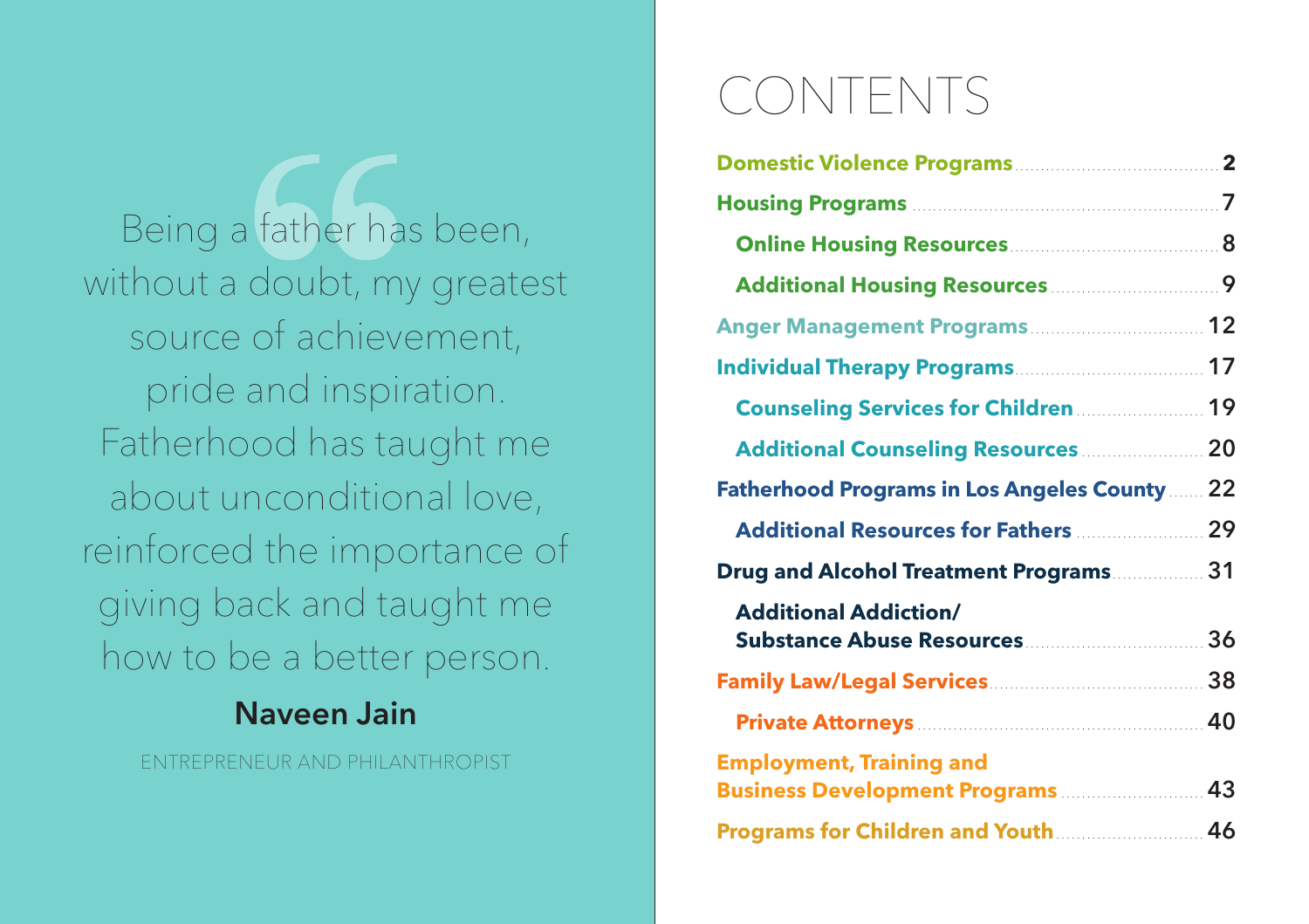Being a father has been, without a doubt, my greatest source of achievement, pride and inspiration. Fatherhood has taught me about unconditional love, reinforced the importance of giving back and taught me how to be a better person.

### Naveen Jain

ENTREPRENEUR AND PHILANTHROPIST

# CONTENTS

| Domestic Violence Programs <b>Marson Access 2</b>                           |    |
|-----------------------------------------------------------------------------|----|
|                                                                             |    |
| Online Housing Resources <b>Manual</b> 2014                                 |    |
| Additional Housing Resources <b>Manual</b> 9                                |    |
| Anger Management Programs  12                                               |    |
|                                                                             |    |
| <b>Counseling Services for Children [1996]</b>                              |    |
| <b>Additional Counseling Resources 20 Additional Counseling Resources</b>   |    |
| <b>Fatherhood Programs in Los Angeles County  22</b>                        |    |
| <b>Additional Resources for Fathers 29 Additional Resources for Fathers</b> |    |
| Drug and Alcohol Treatment Programs                                         |    |
| <b>Additional Addiction/</b>                                                | 36 |
|                                                                             |    |
|                                                                             |    |
| <b>Employment, Training and</b><br><b>Business Development Programs  43</b> |    |
|                                                                             |    |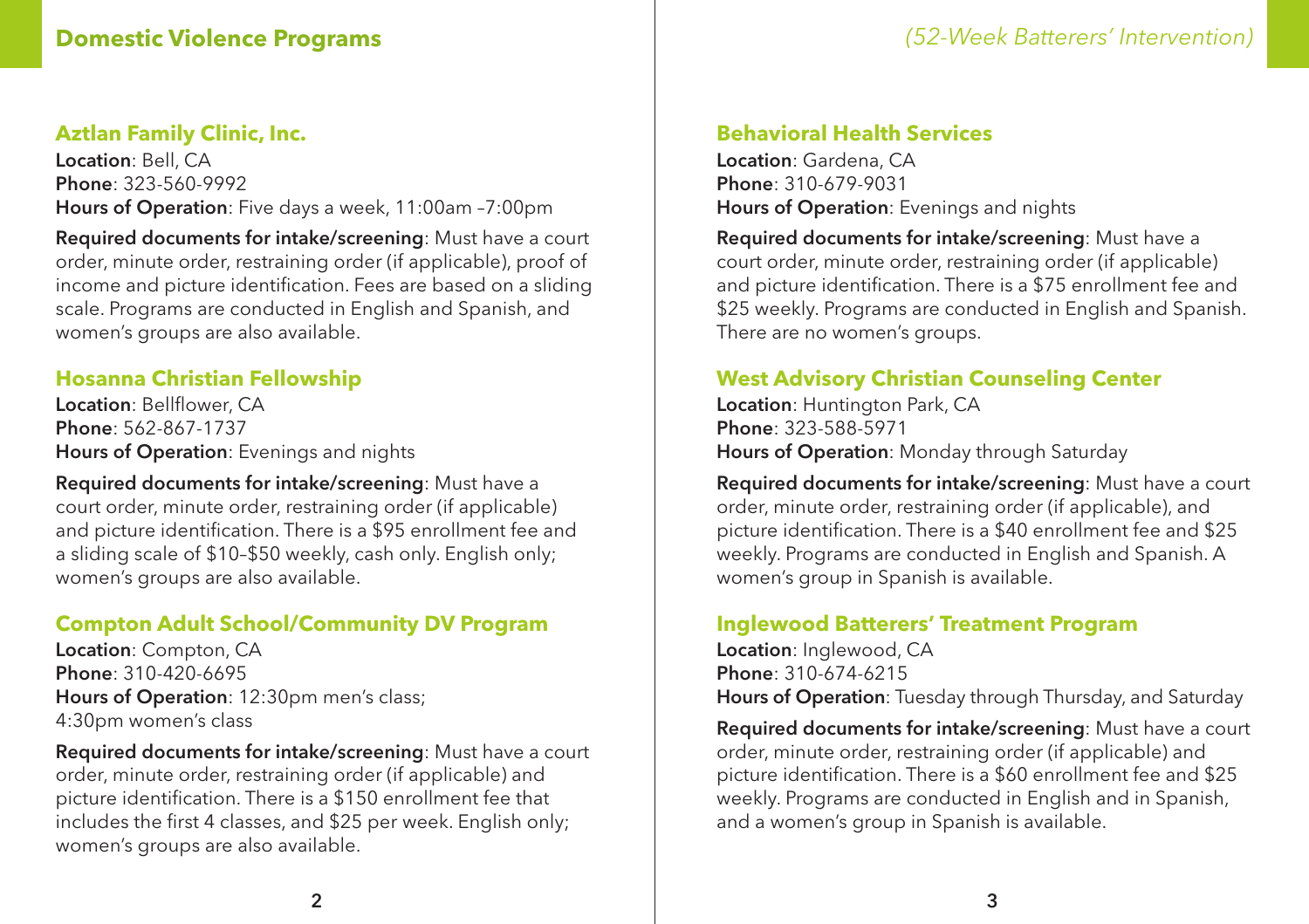#### **Aztlan Family Clinic, Inc.**

Location: Bell, CA Phone: 323-560-9992 Hours of Operation: Five days a week, 11:00am –7:00pm

Required documents for intake/screening: Must have a court order, minute order, restraining order (if applicable), proof of income and picture identification. Fees are based on a sliding scale. Programs are conducted in English and Spanish, and women's groups are also available.

#### **Hosanna Christian Fellowship**

Location: Bellflower, CA Phone: 562-867-1737 Hours of Operation: Evenings and nights

Required documents for intake/screening: Must have a court order, minute order, restraining order (if applicable) and picture identification. There is a \$95 enrollment fee and a sliding scale of \$10–\$50 weekly, cash only. English only; women's groups are also available.

#### **Compton Adult School/Community DV Program**

Location: Compton, CA Phone: 310-420-6695 Hours of Operation: 12:30pm men's class; 4:30pm women's class

Required documents for intake/screening: Must have a court order, minute order, restraining order (if applicable) and picture identification. There is a \$150 enrollment fee that includes the first 4 classes, and \$25 per week. English only; women's groups are also available.

#### **Behavioral Health Services**

Location: Gardena, CA Phone: 310-679-9031 Hours of Operation: Evenings and nights

Required documents for intake/screening: Must have a court order, minute order, restraining order (if applicable) and picture identification. There is a \$75 enrollment fee and \$25 weekly. Programs are conducted in English and Spanish. There are no women's groups.

#### **West Advisory Christian Counseling Center**

Location: Huntington Park, CA Phone: 323-588-5971 Hours of Operation: Monday through Saturday

Required documents for intake/screening: Must have a court order, minute order, restraining order (if applicable), and picture identification. There is a \$40 enrollment fee and \$25 weekly. Programs are conducted in English and Spanish. A women's group in Spanish is available.

#### **Inglewood Batterers' Treatment Program**

Location: Inglewood, CA Phone: 310-674-6215 Hours of Operation: Tuesday through Thursday, and Saturday

Required documents for intake/screening: Must have a court order, minute order, restraining order (if applicable) and picture identification. There is a \$60 enrollment fee and \$25 weekly. Programs are conducted in English and in Spanish, and a women's group in Spanish is available.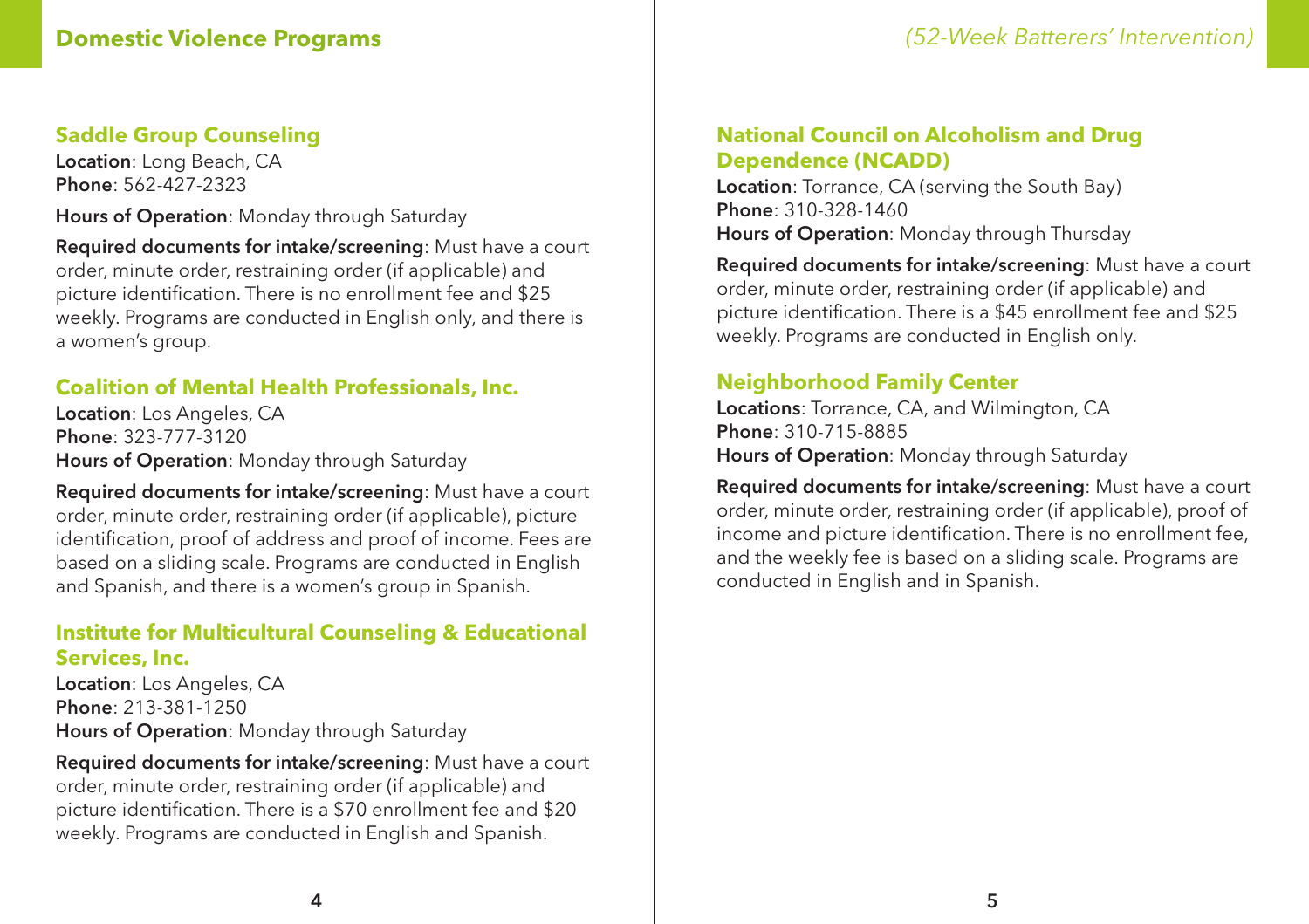#### **Saddle Group Counseling**

Location: Long Beach, CA Phone: 562-427-2323

Hours of Operation: Monday through Saturday

Required documents for intake/screening: Must have a court order, minute order, restraining order (if applicable) and picture identification. There is no enrollment fee and \$25 weekly. Programs are conducted in English only, and there is a women's group.

#### **Coalition of Mental Health Professionals, Inc.**

Location: Los Angeles, CA Phone: 323-777-3120 Hours of Operation: Monday through Saturday

Required documents for intake/screening: Must have a court order, minute order, restraining order (if applicable), picture identification, proof of address and proof of income. Fees are based on a sliding scale. Programs are conducted in English and Spanish, and there is a women's group in Spanish.

#### **Institute for Multicultural Counseling & Educational Services, Inc.**

Location: Los Angeles, CA Phone: 213-381-1250 Hours of Operation: Monday through Saturday

Required documents for intake/screening: Must have a court order, minute order, restraining order (if applicable) and picture identification. There is a \$70 enrollment fee and \$20 weekly. Programs are conducted in English and Spanish.

#### **National Council on Alcoholism and Drug Dependence (NCADD)**

Location: Torrance, CA (serving the South Bay) Phone: 310-328-1460 Hours of Operation: Monday through Thursday

Required documents for intake/screening: Must have a court order, minute order, restraining order (if applicable) and picture identification. There is a \$45 enrollment fee and \$25 weekly. Programs are conducted in English only.

#### **Neighborhood Family Center**

Locations: Torrance, CA, and Wilmington, CA Phone: 310-715-8885 Hours of Operation: Monday through Saturday

Required documents for intake/screening: Must have a court order, minute order, restraining order (if applicable), proof of income and picture identification. There is no enrollment fee, and the weekly fee is based on a sliding scale. Programs are conducted in English and in Spanish.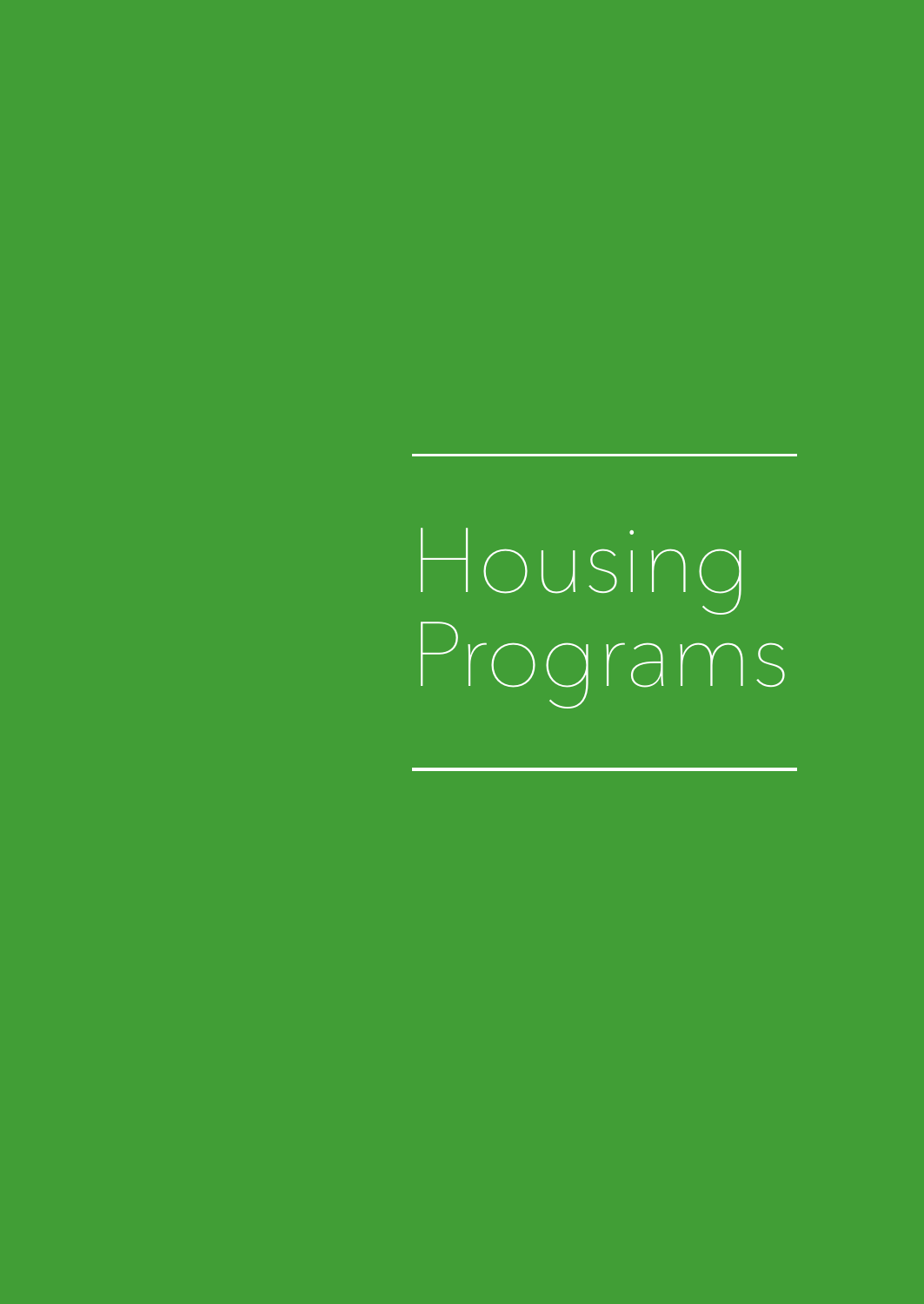**Housing** Programs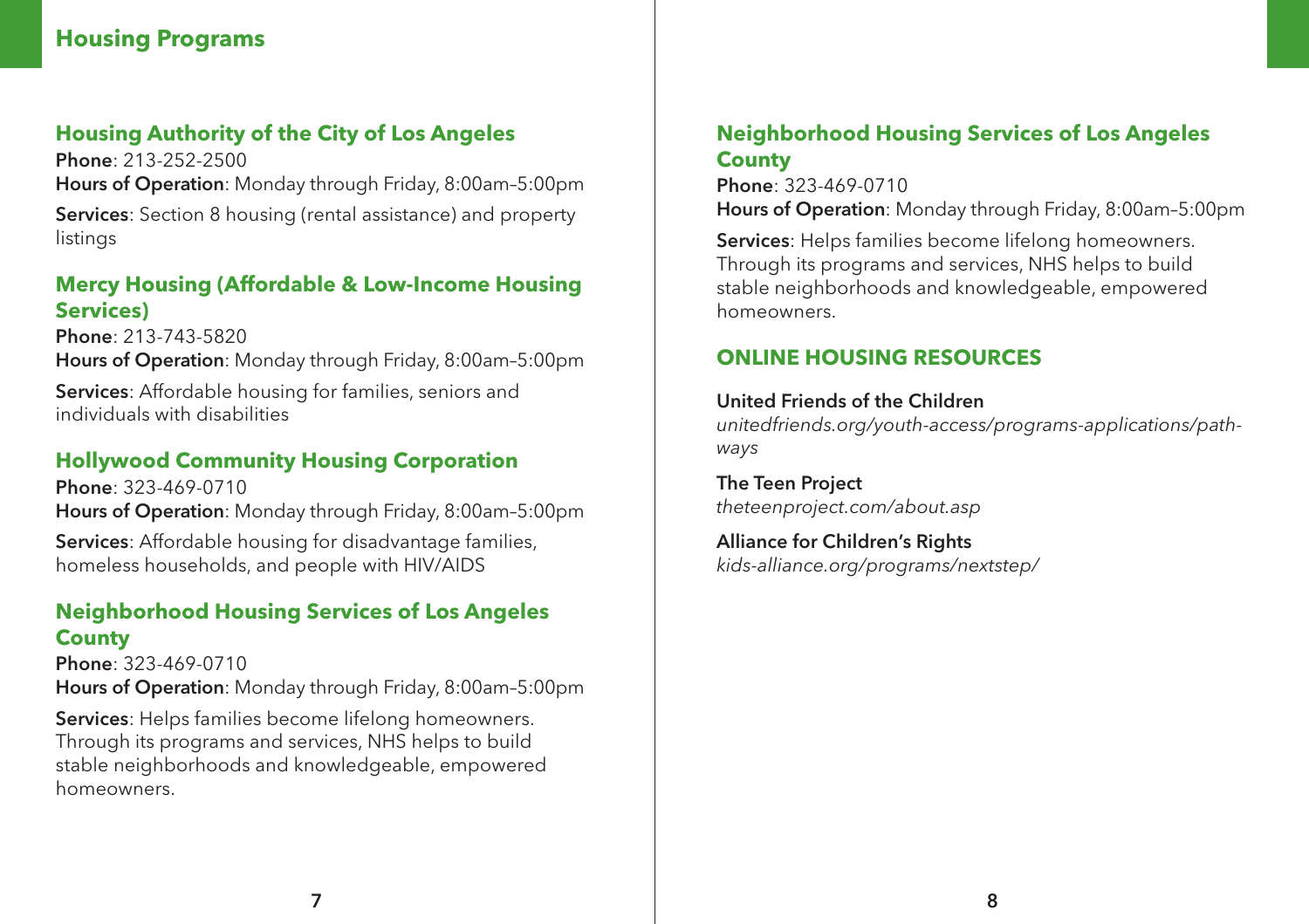#### **Housing Programs**

#### **Housing Authority of the City of Los Angeles**

Phone: 213-252-2500 Hours of Operation: Monday through Friday, 8:00am–5:00pm Services: Section 8 housing (rental assistance) and property listings

#### **Mercy Housing (Affordable & Low-Income Housing Services)**

Phone: 213-743-5820 Hours of Operation: Monday through Friday, 8:00am–5:00pm Services: Affordable housing for families, seniors and individuals with disabilities

#### **Hollywood Community Housing Corporation**

Phone: 323-469-0710 Hours of Operation: Monday through Friday, 8:00am–5:00pm Services: Affordable housing for disadvantage families, homeless households, and people with HIV/AIDS

#### **Neighborhood Housing Services of Los Angeles County**

Phone: 323-469-0710 Hours of Operation: Monday through Friday, 8:00am–5:00pm

Services: Helps families become lifelong homeowners. Through its programs and services, NHS helps to build stable neighborhoods and knowledgeable, empowered homeowners.

#### **Neighborhood Housing Services of Los Angeles County**

Phone: 323-469-0710

Hours of Operation: Monday through Friday, 8:00am–5:00pm

Services: Helps families become lifelong homeowners. Through its programs and services, NHS helps to build stable neighborhoods and knowledgeable, empowered homeowners.

#### **ONLINE HOUSING RESOURCES**

#### United Friends of the Children

*unitedfriends.org/youth-access/programs-applications/pathways*

The Teen Project *theteenproject.com/about.asp*

Alliance for Children's Rights *kids-alliance.org/programs/nextstep/*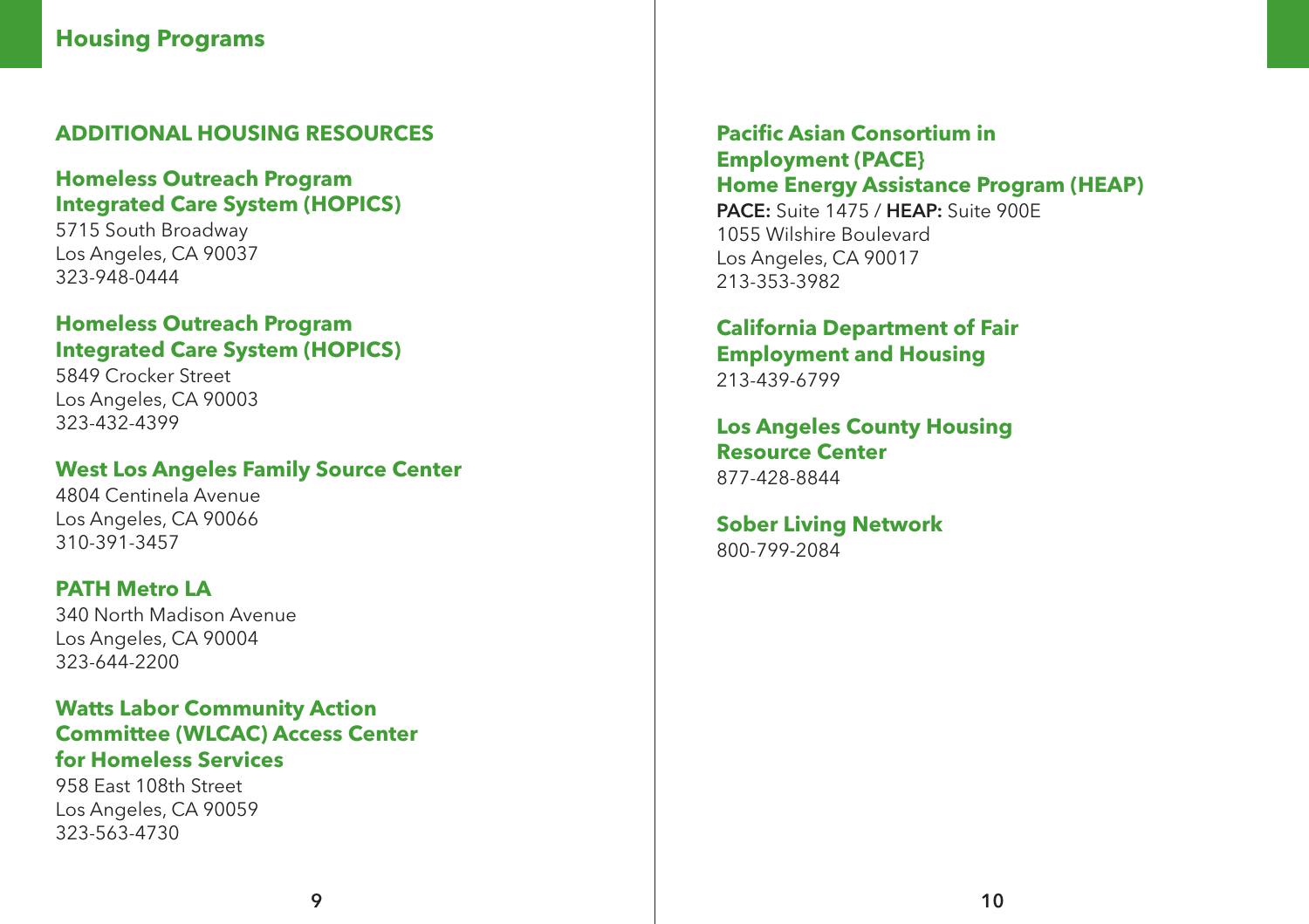#### **ADDITIONAL HOUSING RESOURCES**

#### **Homeless Outreach Program Integrated Care System (HOPICS)**

5715 South Broadway Los Angeles, CA 90037 323-948-0444

#### **Homeless Outreach Program Integrated Care System (HOPICS)**

5849 Crocker Street Los Angeles, CA 90003 323-432-4399

#### **West Los Angeles Family Source Center**

4804 Centinela Avenue Los Angeles, CA 90066 310-391-3457

#### **PATH Metro LA**

340 North Madison Avenue Los Angeles, CA 90004 323-644-2200

#### **Watts Labor Community Action Committee (WLCAC) Access Center for Homeless Services**

958 East 108th Street Los Angeles, CA 90059 323-563-4730

**Pacific Asian Consortium in Employment (PACE} Home Energy Assistance Program (HEAP)** PACE: Suite 1475 / HEAP: Suite 900F 1055 Wilshire Boulevard Los Angeles, CA 90017 213-353-3982

#### **California Department of Fair Employment and Housing** 213-439-6799

#### **Los Angeles County Housing Resource Center** 877-428-8844

**Sober Living Network** 800-799-2084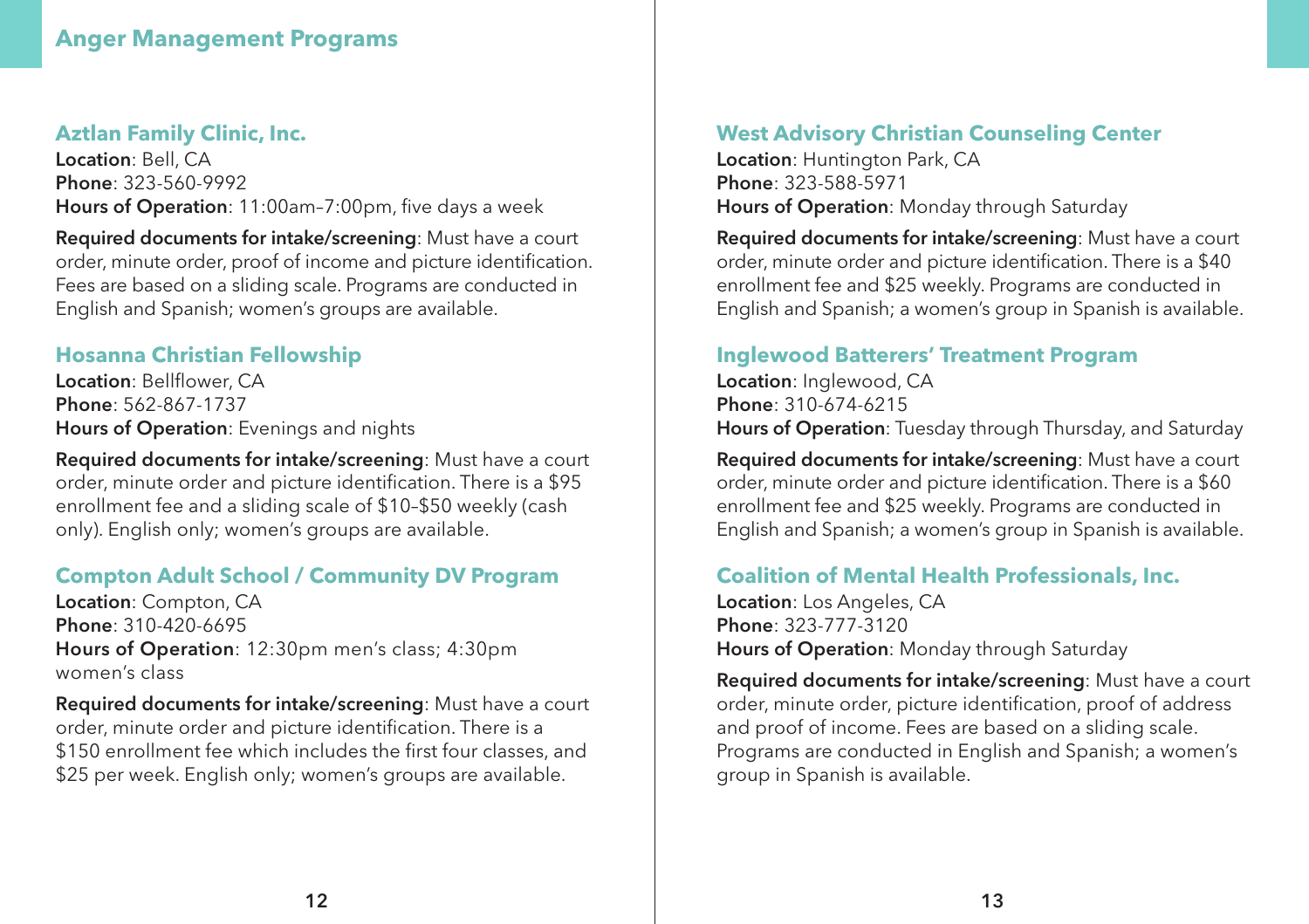#### **Anger Management Programs**

#### **Aztlan Family Clinic, Inc.**

Location: Bell, CA Phone: 323-560-9992 Hours of Operation: 11:00am–7:00pm, five days a week

Required documents for intake/screening: Must have a court order, minute order, proof of income and picture identification. Fees are based on a sliding scale. Programs are conducted in English and Spanish; women's groups are available.

#### **Hosanna Christian Fellowship**

Location: Bellflower, CA Phone: 562-867-1737 Hours of Operation: Evenings and nights

Required documents for intake/screening: Must have a court order, minute order and picture identification. There is a \$95 enrollment fee and a sliding scale of \$10–\$50 weekly (cash only). English only; women's groups are available.

#### **Compton Adult School / Community DV Program**

Location: Compton, CA Phone: 310-420-6695 Hours of Operation: 12:30pm men's class; 4:30pm women's class

Required documents for intake/screening: Must have a court order, minute order and picture identification. There is a \$150 enrollment fee which includes the first four classes, and \$25 per week. English only; women's groups are available.

#### **West Advisory Christian Counseling Center**

Location: Huntington Park, CA Phone: 323-588-5971 Hours of Operation: Monday through Saturday

Required documents for intake/screening: Must have a court order, minute order and picture identification. There is a \$40 enrollment fee and \$25 weekly. Programs are conducted in English and Spanish; a women's group in Spanish is available.

#### **Inglewood Batterers' Treatment Program**

Location: Inglewood, CA Phone: 310-674-6215 Hours of Operation: Tuesday through Thursday, and Saturday

Required documents for intake/screening: Must have a court order, minute order and picture identification. There is a \$60 enrollment fee and \$25 weekly. Programs are conducted in English and Spanish; a women's group in Spanish is available.

#### **Coalition of Mental Health Professionals, Inc.**

Location: Los Angeles, CA Phone: 323-777-3120 Hours of Operation: Monday through Saturday

Required documents for intake/screening: Must have a court order, minute order, picture identification, proof of address and proof of income. Fees are based on a sliding scale. Programs are conducted in English and Spanish; a women's group in Spanish is available.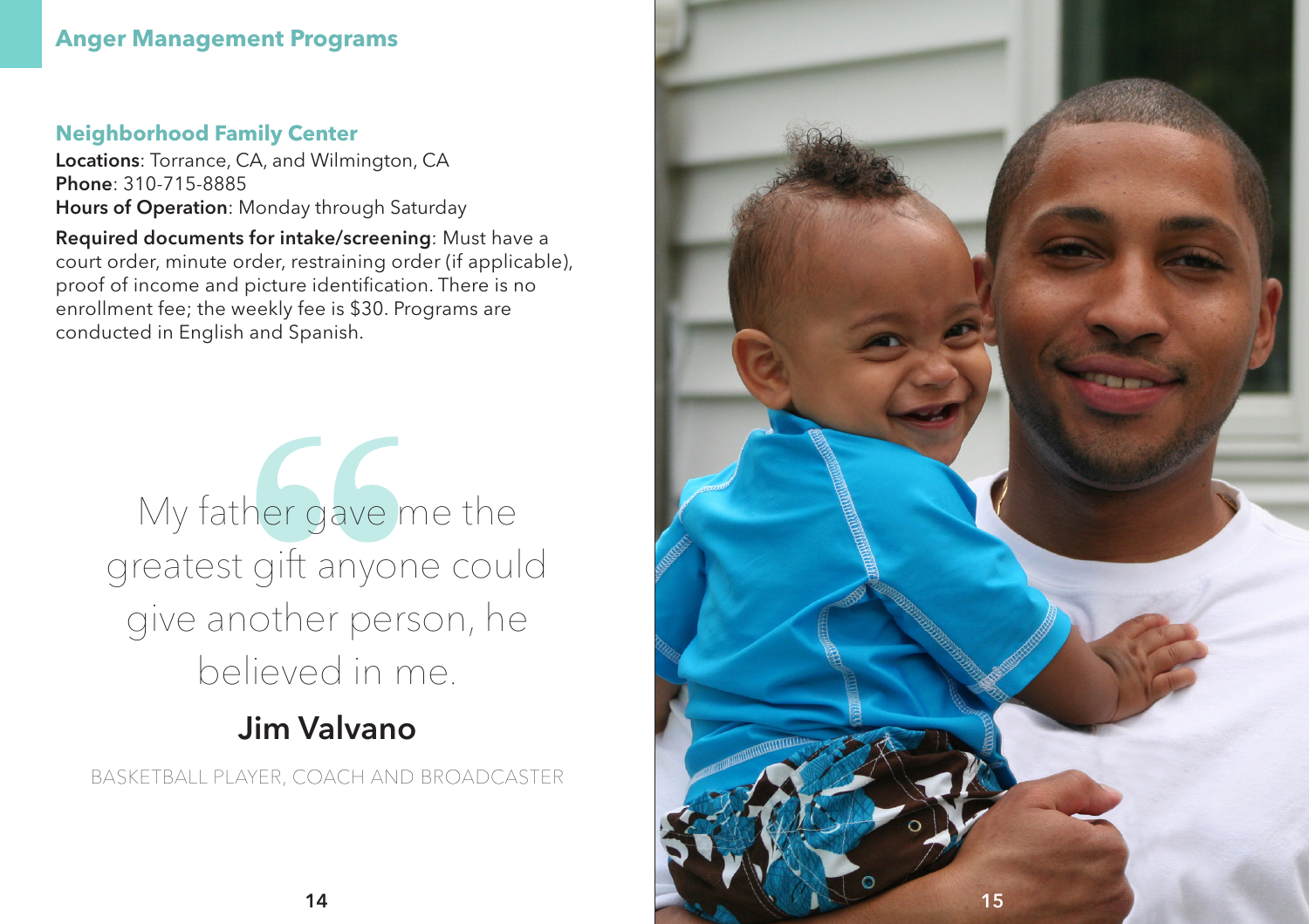#### **Anger Management Programs**

#### **Neighborhood Family Center**

Locations: Torrance, CA, and Wilmington, CA Phone: 310-715-8885 Hours of Operation: Monday through Saturday

Required documents for intake/screening: Must have a court order, minute order, restraining order (if applicable), proof of income and picture identification. There is no enrollment fee; the weekly fee is \$30. Programs are conducted in English and Spanish.

# My father gave me the greatest gift anyone could give another person, he believed in me.

# Jim Valvano

BASKETBALL PLAYER, COACH AND BROADCASTER

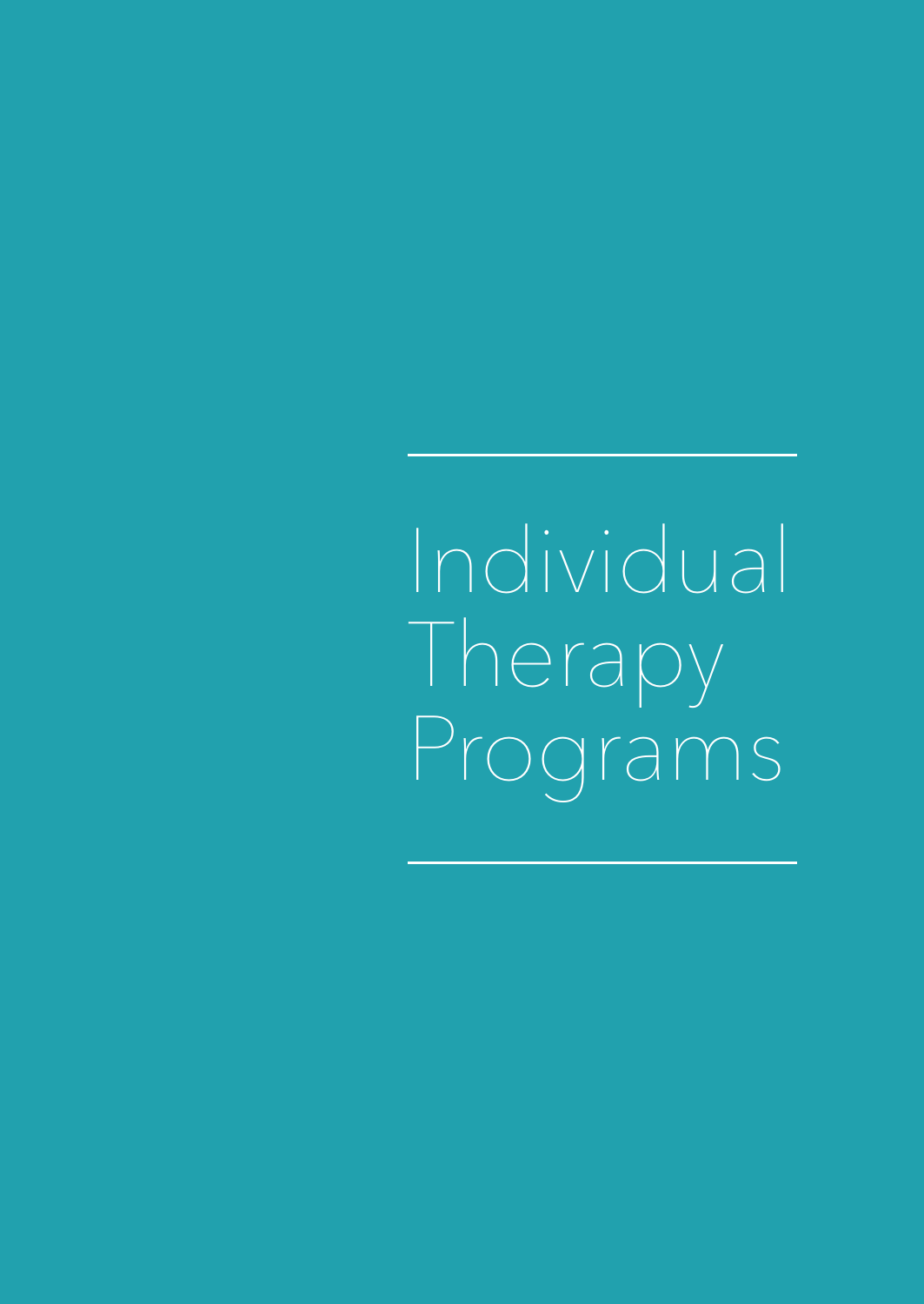Individual **Therapy** Programs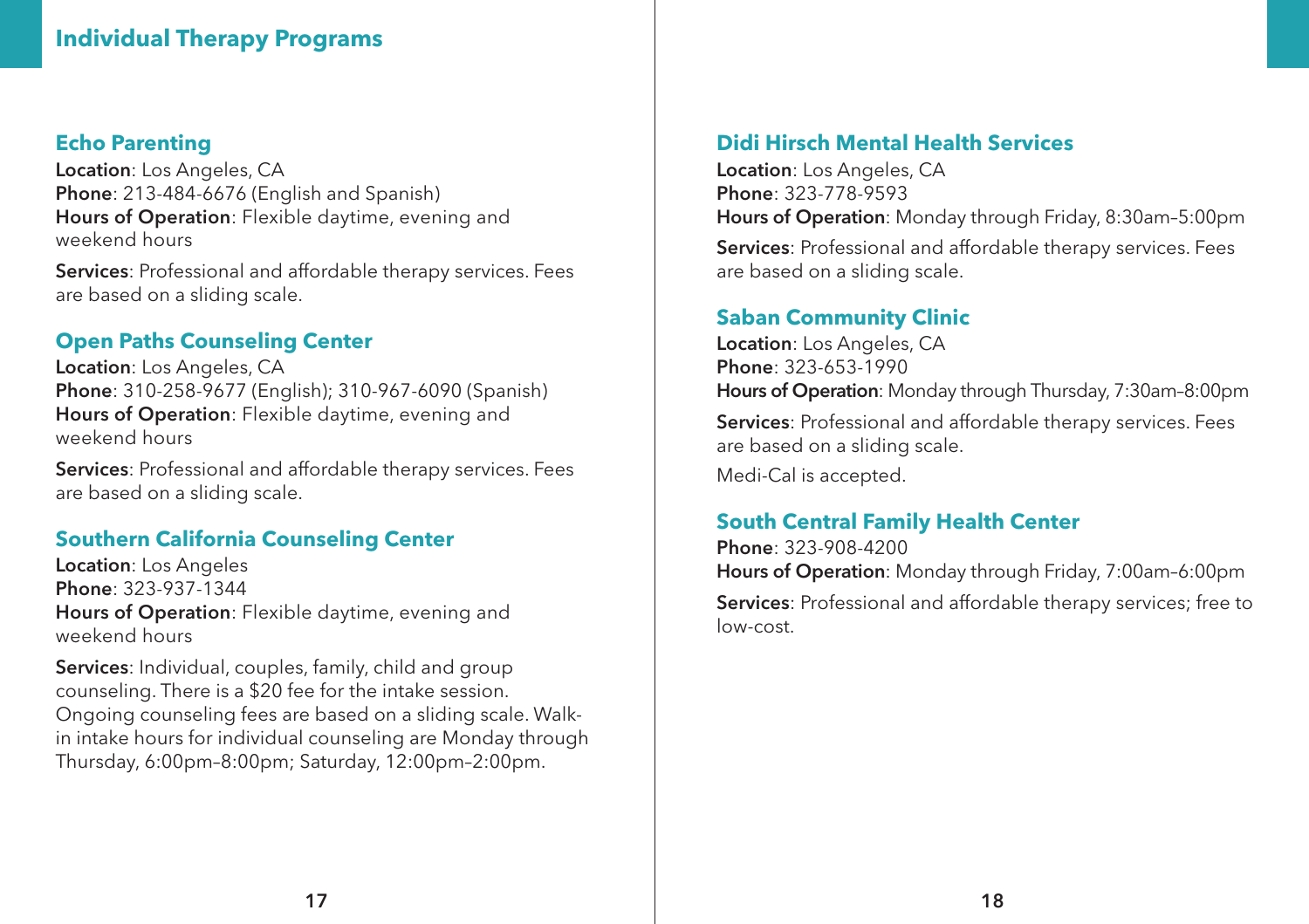#### **Individual Therapy Programs**

#### **Echo Parenting**

Location: Los Angeles, CA Phone: 213-484-6676 (English and Spanish) Hours of Operation: Flexible daytime, evening and weekend hours

Services: Professional and affordable therapy services. Fees are based on a sliding scale.

#### **Open Paths Counseling Center**

Location: Los Angeles, CA Phone: 310-258-9677 (English); 310-967-6090 (Spanish) Hours of Operation: Flexible daytime, evening and weekend hours

Services: Professional and affordable therapy services. Fees are based on a sliding scale.

#### **Southern California Counseling Center**

Location: Los Angeles Phone: 323-937-1344 Hours of Operation: Flexible daytime, evening and weekend hours

Services: Individual, couples, family, child and group counseling. There is a \$20 fee for the intake session. Ongoing counseling fees are based on a sliding scale. Walkin intake hours for individual counseling are Monday through Thursday, 6:00pm–8:00pm; Saturday, 12:00pm–2:00pm.

#### **Didi Hirsch Mental Health Services**

Location: Los Angeles, CA Phone: 323-778-9593 Hours of Operation: Monday through Friday, 8:30am–5:00pm

Services: Professional and affordable therapy services. Fees are based on a sliding scale.

#### **Saban Community Clinic**

Location: Los Angeles, CA Phone: 323-653-1990 Hours of Operation: Monday through Thursday, 7:30am–8:00pm Services: Professional and affordable therapy services. Fees are based on a sliding scale. Medi-Cal is accepted.

#### **South Central Family Health Center**

Phone: 323-908-4200 Hours of Operation: Monday through Friday, 7:00am–6:00pm Services: Professional and affordable therapy services; free to low-cost.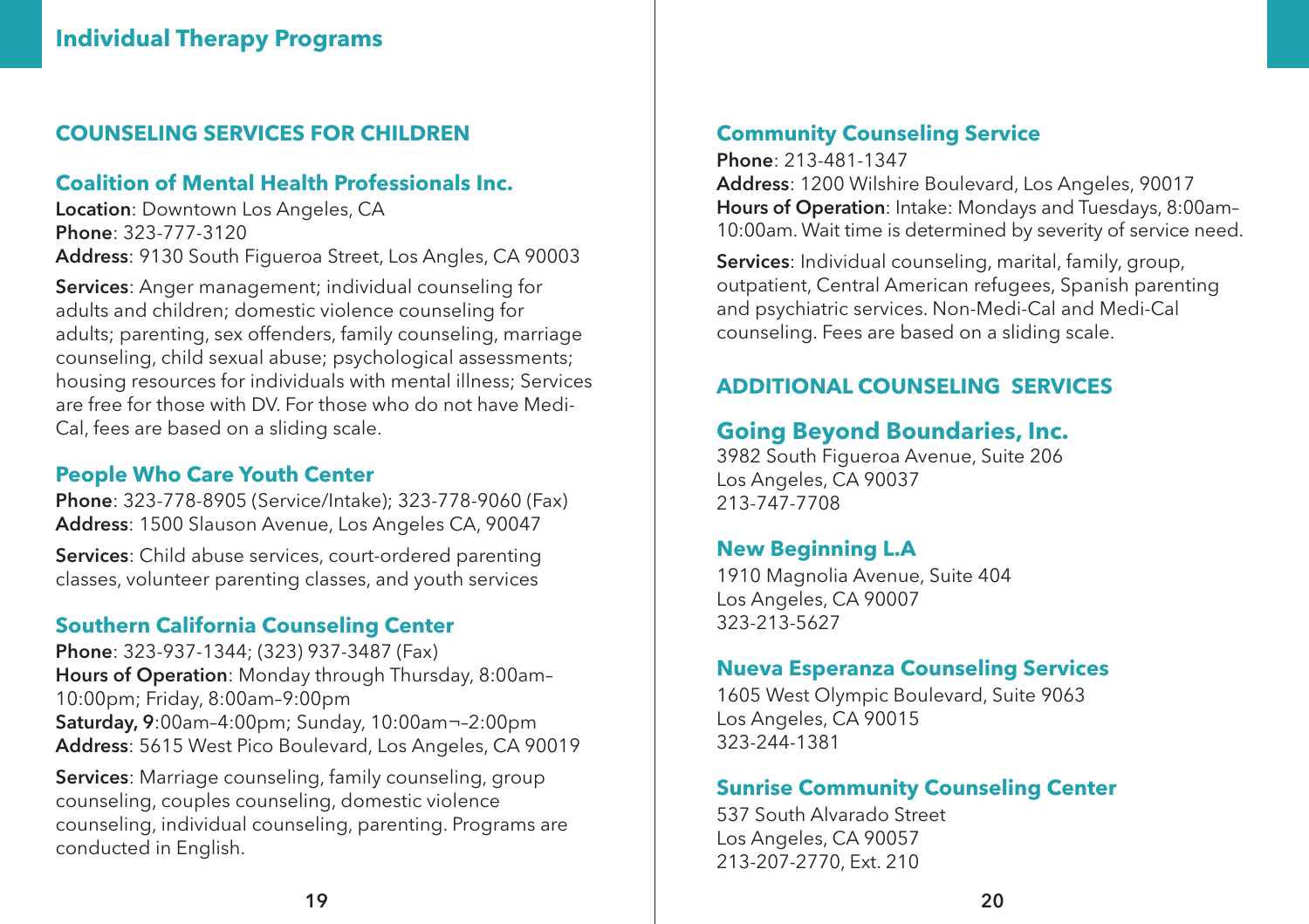#### **COUNSELING SERVICES FOR CHILDREN**

#### **Coalition of Mental Health Professionals Inc.**

Location: Downtown Los Angeles, CA Phone: 323-777-3120 Address: 9130 South Figueroa Street, Los Angles, CA 90003

Services: Anger management; individual counseling for adults and children; domestic violence counseling for adults; parenting, sex offenders, family counseling, marriage counseling, child sexual abuse; psychological assessments; housing resources for individuals with mental illness; Services are free for those with DV. For those who do not have Medi-Cal, fees are based on a sliding scale.

#### **People Who Care Youth Center**

Phone: 323-778-8905 (Service/Intake); 323-778-9060 (Fax) Address: 1500 Slauson Avenue, Los Angeles CA, 90047

Services: Child abuse services, court-ordered parenting classes, volunteer parenting classes, and youth services

#### **Southern California Counseling Center**

Phone: 323-937-1344; (323) 937-3487 (Fax) Hours of Operation: Monday through Thursday, 8:00am– 10:00pm; Friday, 8:00am–9:00pm Saturday, 9:00am–4:00pm; Sunday, 10:00am¬–2:00pm Address: 5615 West Pico Boulevard, Los Angeles, CA 90019

Services: Marriage counseling, family counseling, group counseling, couples counseling, domestic violence counseling, individual counseling, parenting. Programs are conducted in English.

#### **Community Counseling Service**

Phone: 213-481-1347 Address: 1200 Wilshire Boulevard, Los Angeles, 90017 Hours of Operation: Intake: Mondays and Tuesdays, 8:00am– 10:00am. Wait time is determined by severity of service need.

Services: Individual counseling, marital, family, group, outpatient, Central American refugees, Spanish parenting and psychiatric services. Non-Medi-Cal and Medi-Cal counseling. Fees are based on a sliding scale.

#### **ADDITIONAL COUNSELING SERVICES**

#### **Going Beyond Boundaries, Inc.**

3982 South Figueroa Avenue, Suite 206 Los Angeles, CA 90037 213-747-7708

#### **New Beginning L.A**

1910 Magnolia Avenue, Suite 404 Los Angeles, CA 90007 323-213-5627

#### **Nueva Esperanza Counseling Services**

1605 West Olympic Boulevard, Suite 9063 Los Angeles, CA 90015 323-244-1381

#### **Sunrise Community Counseling Center**

537 South Alvarado Street Los Angeles, CA 90057 213-207-2770, Ext. 210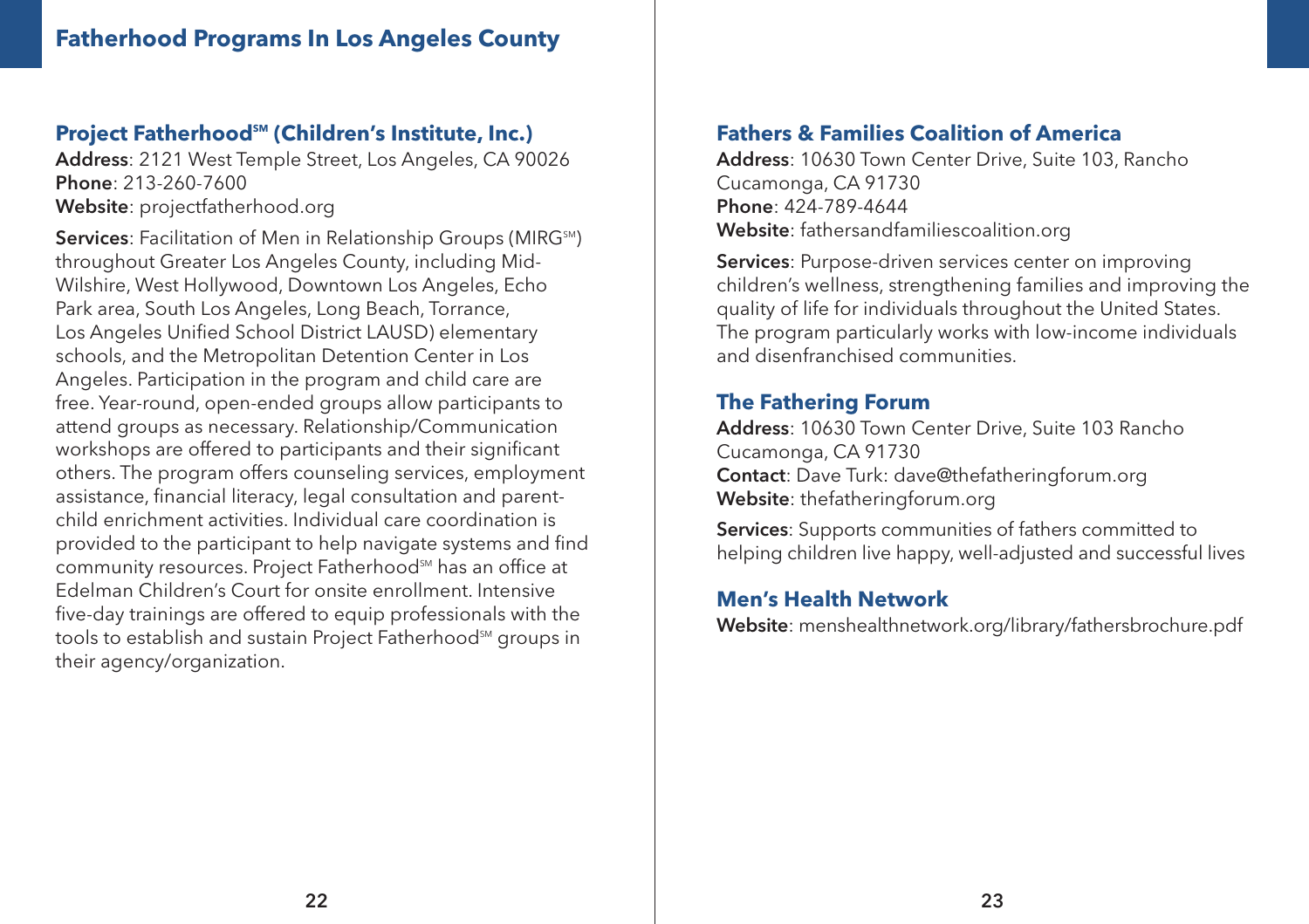#### **Project Fatherhood<sup>™</sup> (Children's Institute, Inc.)**

Address: 2121 West Temple Street, Los Angeles, CA 90026 Phone: 213-260-7600 Website: projectfatherhood.org

Services: Facilitation of Men in Relationship Groups (MIRG<sup>SM</sup>) throughout Greater Los Angeles County, including Mid-Wilshire, West Hollywood, Downtown Los Angeles, Echo Park area, South Los Angeles, Long Beach, Torrance, Los Angeles Unified School District LAUSD) elementary schools, and the Metropolitan Detention Center in Los Angeles. Participation in the program and child care are free. Year-round, open-ended groups allow participants to attend groups as necessary. Relationship/Communication workshops are offered to participants and their significant others. The program offers counseling services, employment assistance, financial literacy, legal consultation and parentchild enrichment activities. Individual care coordination is provided to the participant to help navigate systems and find community resources. Project Fatherhood<sup>SM</sup> has an office at Edelman Children's Court for onsite enrollment. Intensive five-day trainings are offered to equip professionals with the tools to establish and sustain Project Fatherhood<sup>SM</sup> groups in their agency/organization.

#### **Fathers & Families Coalition of America**

Address: 10630 Town Center Drive, Suite 103, Rancho Cucamonga, CA 91730 Phone: 424-789-4644 Website: fathersandfamiliescoalition.org

Services: Purpose-driven services center on improving children's wellness, strengthening families and improving the quality of life for individuals throughout the United States. The program particularly works with low-income individuals and disenfranchised communities.

#### **The Fathering Forum**

Address: 10630 Town Center Drive, Suite 103 Rancho Cucamonga, CA 91730 Contact: Dave Turk: dave@thefatheringforum.org Website: thefatheringforum.org

Services: Supports communities of fathers committed to helping children live happy, well-adjusted and successful lives

#### **Men's Health Network**

Website: menshealthnetwork.org/library/fathersbrochure.pdf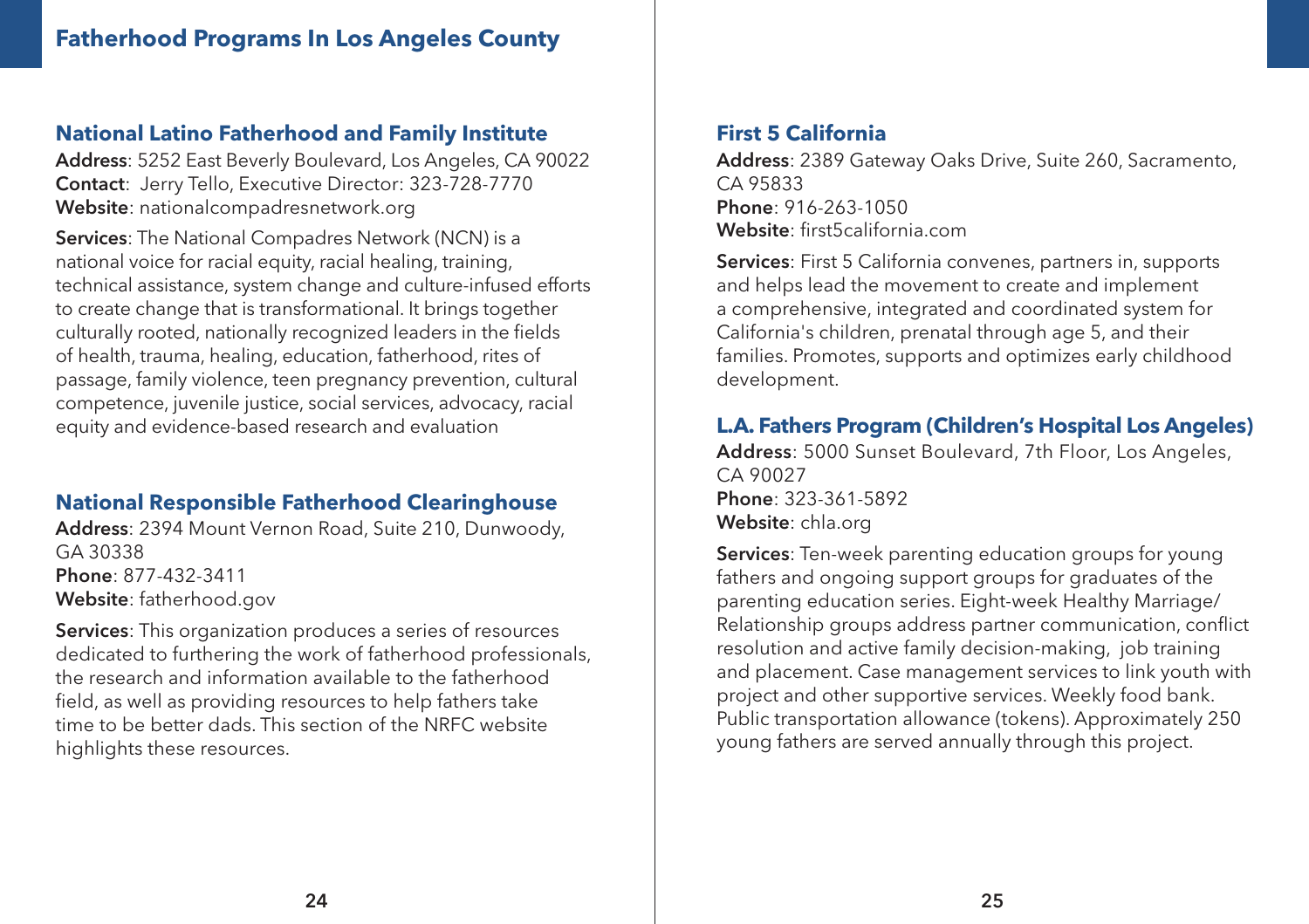#### **National Latino Fatherhood and Family Institute**

Address: 5252 East Beverly Boulevard, Los Angeles, CA 90022 Contact: Jerry Tello, Executive Director: 323-728-7770 Website: nationalcompadresnetwork.org

Services: The National Compadres Network (NCN) is a national voice for racial equity, racial healing, training, technical assistance, system change and culture-infused efforts to create change that is transformational. It brings together culturally rooted, nationally recognized leaders in the fields of health, trauma, healing, education, fatherhood, rites of passage, family violence, teen pregnancy prevention, cultural competence, juvenile justice, social services, advocacy, racial equity and evidence-based research and evaluation

#### **National Responsible Fatherhood Clearinghouse**

Address: 2394 Mount Vernon Road, Suite 210, Dunwoody, GA 30338 Phone: 877-432-3411 Website: fatherhood.gov

Services: This organization produces a series of resources dedicated to furthering the work of fatherhood professionals, the research and information available to the fatherhood field, as well as providing resources to help fathers take time to be better dads. This section of the NRFC website highlights these resources.

#### **First 5 California**

Address: 2389 Gateway Oaks Drive, Suite 260, Sacramento, CA 95833 Phone: 916-263-1050 Website: first5california.com

Services: First 5 California convenes, partners in, supports and helps lead the movement to create and implement a comprehensive, integrated and coordinated system for California's children, prenatal through age 5, and their families. Promotes, supports and optimizes early childhood development.

#### **L.A. Fathers Program (Children's Hospital Los Angeles)**

Address: 5000 Sunset Boulevard, 7th Floor, Los Angeles, CA 90027 Phone: 323-361-5892 Website: chla.org

Services: Ten-week parenting education groups for young fathers and ongoing support groups for graduates of the parenting education series. Eight-week Healthy Marriage/ Relationship groups address partner communication, conflict resolution and active family decision-making, job training and placement. Case management services to link youth with project and other supportive services. Weekly food bank. Public transportation allowance (tokens). Approximately 250 young fathers are served annually through this project.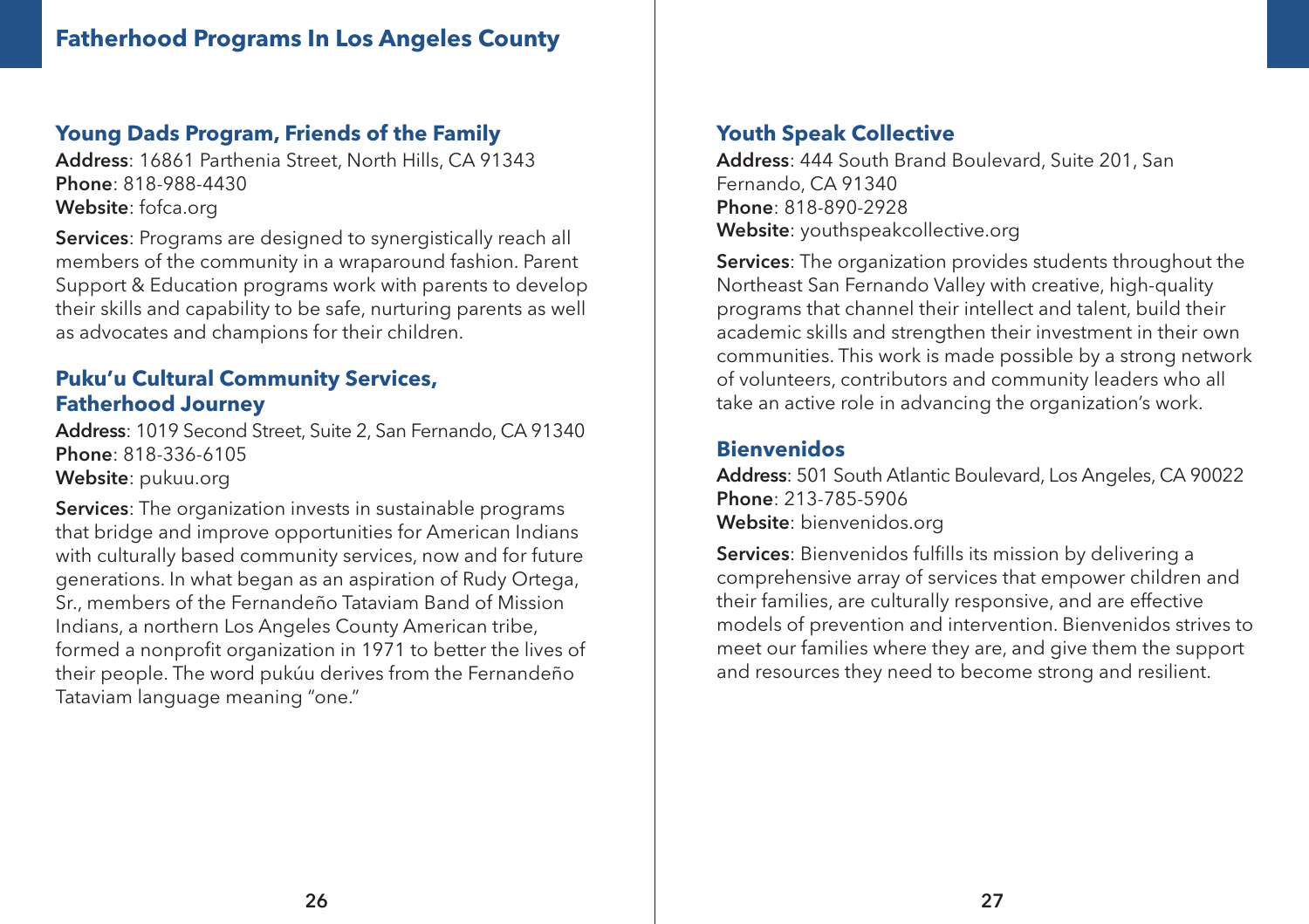#### **Young Dads Program, Friends of the Family**

Address: 16861 Parthenia Street, North Hills, CA 91343 Phone: 818-988-4430 Website: fofca.org

Services: Programs are designed to synergistically reach all members of the community in a wraparound fashion. Parent Support & Education programs work with parents to develop their skills and capability to be safe, nurturing parents as well as advocates and champions for their children.

#### **Puku'u Cultural Community Services, Fatherhood Journey**

Address: 1019 Second Street, Suite 2, San Fernando, CA 91340 Phone: 818-336-6105 Website: pukuu.org

Services: The organization invests in sustainable programs that bridge and improve opportunities for American Indians with culturally based community services, now and for future generations. In what began as an aspiration of Rudy Ortega, Sr., members of the Fernandeño Tataviam Band of Mission Indians, a northern Los Angeles County American tribe, formed a nonprofit organization in 1971 to better the lives of their people. The word pukúu derives from the Fernandeño Tataviam language meaning "one."

#### **Youth Speak Collective**

Address: 444 South Brand Boulevard, Suite 201, San Fernando, CA 91340 Phone: 818-890-2928 Website: youthspeakcollective.org

Services: The organization provides students throughout the Northeast San Fernando Valley with creative, high-quality programs that channel their intellect and talent, build their academic skills and strengthen their investment in their own communities. This work is made possible by a strong network of volunteers, contributors and community leaders who all take an active role in advancing the organization's work.

#### **Bienvenidos**

Address: 501 South Atlantic Boulevard, Los Angeles, CA 90022 Phone: 213-785-5906 Website: bienvenidos.org

Services: Bienvenidos fulfills its mission by delivering a comprehensive array of services that empower children and their families, are culturally responsive, and are effective models of prevention and intervention. Bienvenidos strives to meet our families where they are, and give them the support and resources they need to become strong and resilient.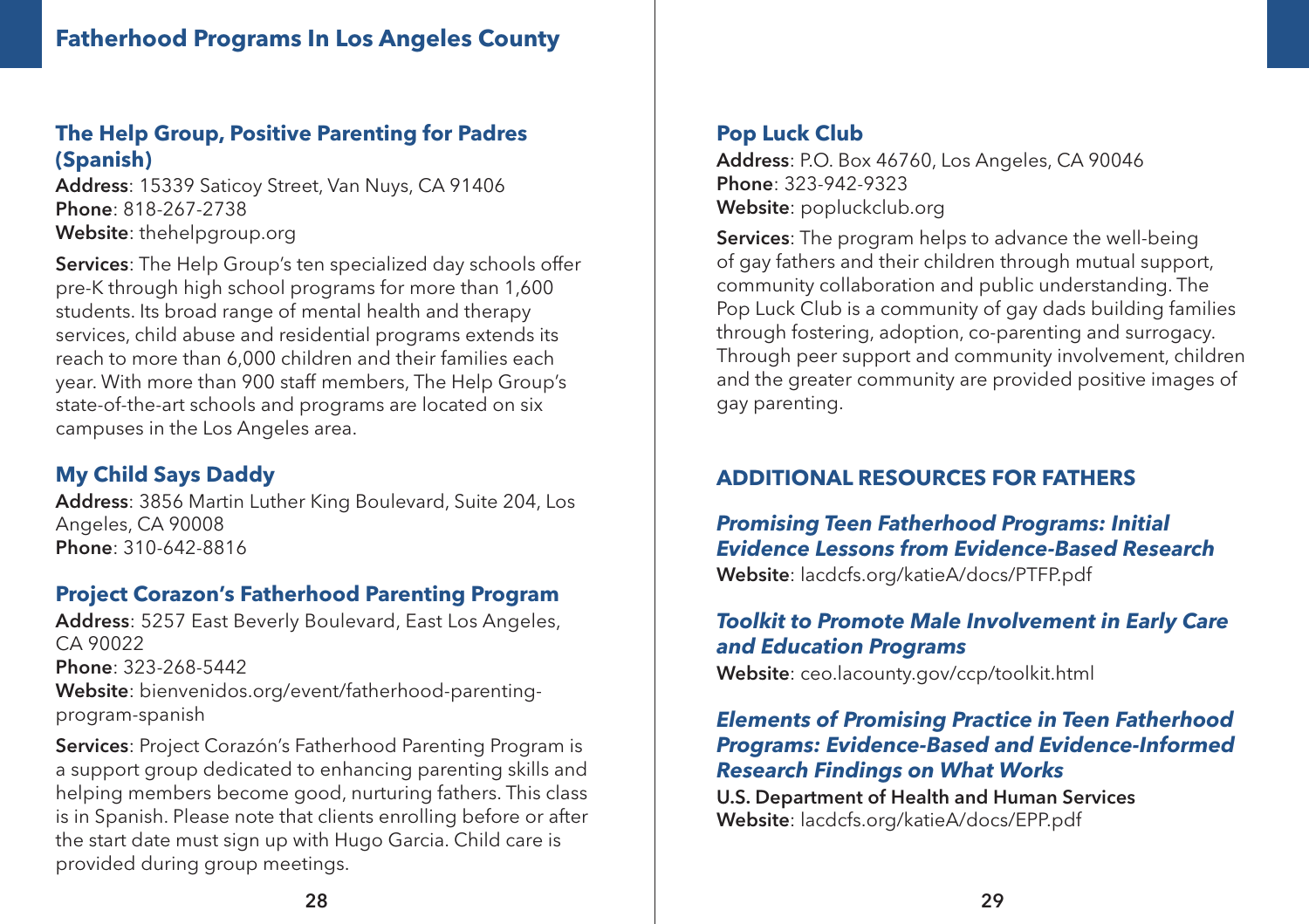#### **The Help Group, Positive Parenting for Padres (Spanish)**

Address: 15339 Saticoy Street, Van Nuys, CA 91406 Phone: 818-267-2738 Website: thehelpgroup.org

Services: The Help Group's ten specialized day schools offer pre-K through high school programs for more than 1,600 students. Its broad range of mental health and therapy services, child abuse and residential programs extends its reach to more than 6,000 children and their families each year. With more than 900 staff members, The Help Group's state-of-the-art schools and programs are located on six campuses in the Los Angeles area.

#### **My Child Says Daddy**

Address: 3856 Martin Luther King Boulevard, Suite 204, Los Angeles, CA 90008 Phone: 310-642-8816

#### **Project Corazon's Fatherhood Parenting Program**

Address: 5257 East Beverly Boulevard, East Los Angeles, CA 90022 Phone: 323-268-5442 Website: bienvenidos.org/event/fatherhood-parentingprogram-spanish

Services: Project Corazón's Fatherhood Parenting Program is a support group dedicated to enhancing parenting skills and helping members become good, nurturing fathers. This class is in Spanish. Please note that clients enrolling before or after the start date must sign up with Hugo Garcia. Child care is provided during group meetings.

#### **Pop Luck Club**

Address: P.O. Box 46760, Los Angeles, CA 90046 Phone: 323-942-9323 Website: popluckclub.org

Services: The program helps to advance the well-being of gay fathers and their children through mutual support, community collaboration and public understanding. The Pop Luck Club is a community of gay dads building families through fostering, adoption, co-parenting and surrogacy. Through peer support and community involvement, children and the greater community are provided positive images of gay parenting.

#### **ADDITIONAL RESOURCES FOR FATHERS**

*Promising Teen Fatherhood Programs: Initial Evidence Lessons from Evidence-Based Research*

Website: lacdcfs.org/katieA/docs/PTFP.pdf

#### *Toolkit to Promote Male Involvement in Early Care and Education Programs*

Website: ceo.lacounty.gov/ccp/toolkit.html

#### *Elements of Promising Practice in Teen Fatherhood Programs: Evidence-Based and Evidence-Informed Research Findings on What Works*

U.S. Department of Health and Human Services Website: lacdcfs.org/katieA/docs/EPP.pdf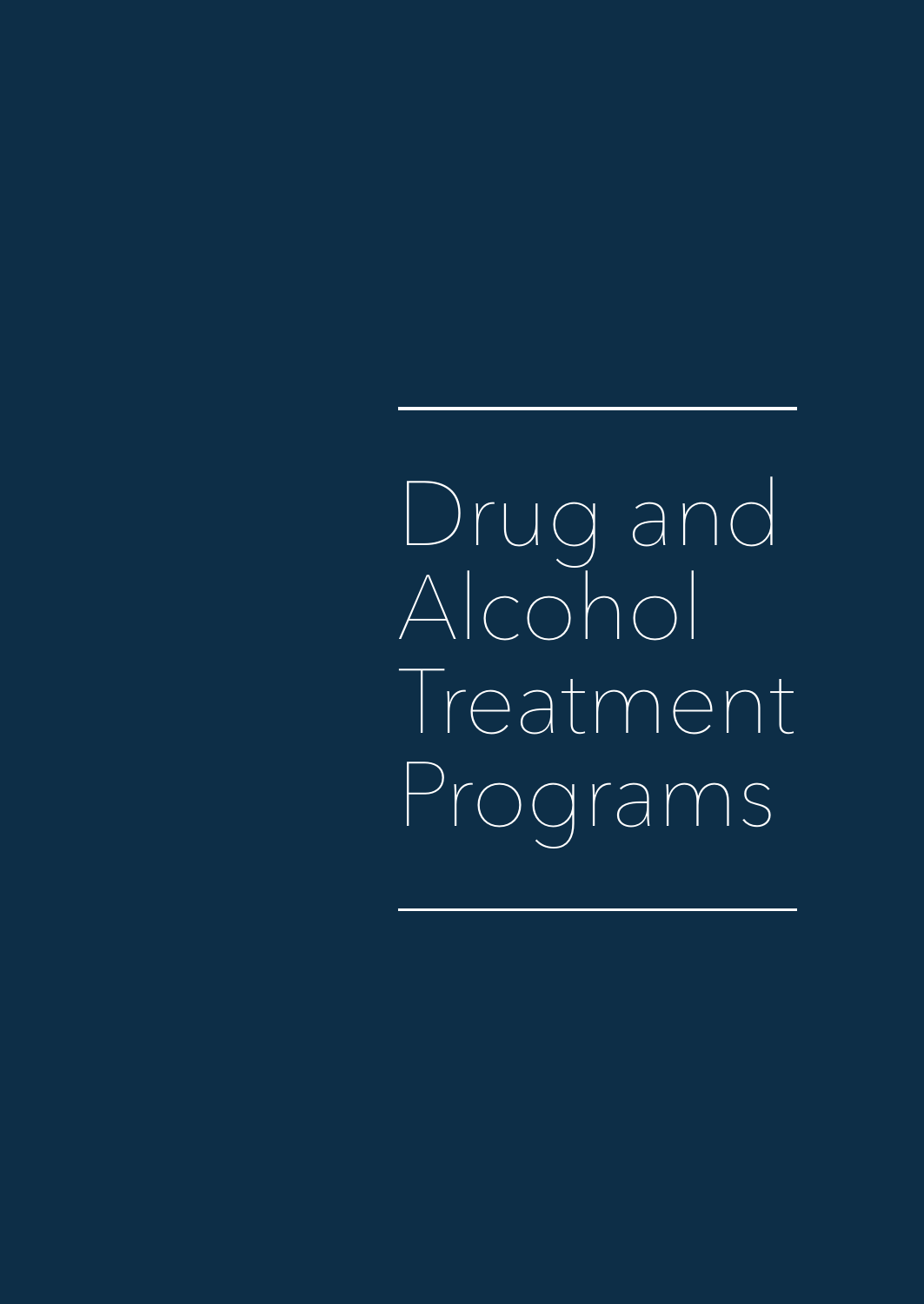Drug and Alcohol **Treatment** Programs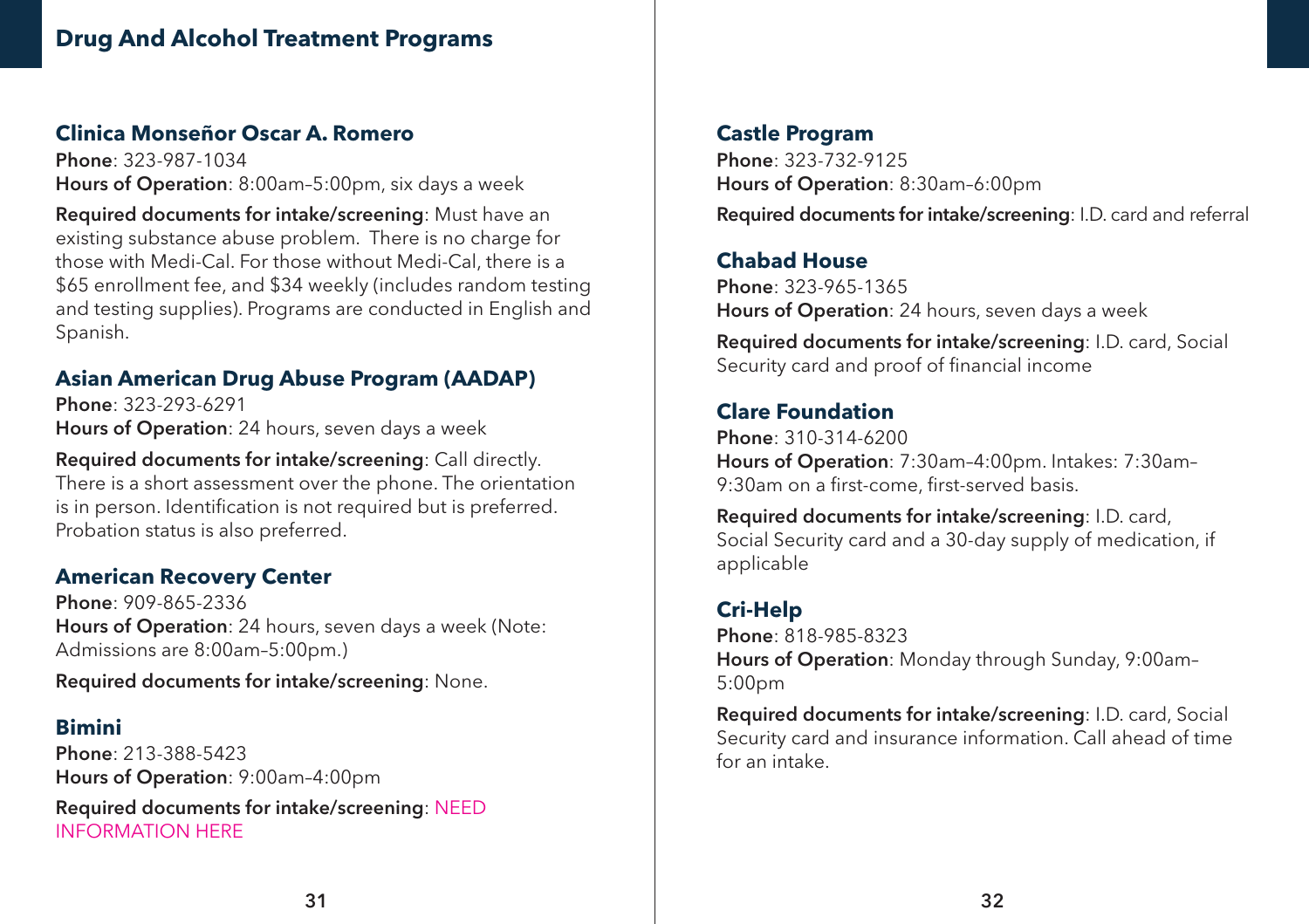#### **Clinica Monseñor Oscar A. Romero**

Phone: 323-987-1034 Hours of Operation: 8:00am–5:00pm, six days a week

Required documents for intake/screening: Must have an existing substance abuse problem. There is no charge for those with Medi-Cal. For those without Medi-Cal, there is a \$65 enrollment fee, and \$34 weekly (includes random testing and testing supplies). Programs are conducted in English and Spanish.

#### **Asian American Drug Abuse Program (AADAP)**

Phone: 323-293-6291 Hours of Operation: 24 hours, seven days a week

Required documents for intake/screening: Call directly. There is a short assessment over the phone. The orientation is in person. Identification is not required but is preferred. Probation status is also preferred.

#### **American Recovery Center**

Phone: 909-865-2336 Hours of Operation: 24 hours, seven days a week (Note: Admissions are 8:00am-5:00pm.)

Required documents for intake/screening: None.

#### **Bimini**

Phone: 213-388-5423 Hours of Operation: 9:00am–4:00pm Required documents for intake/screening: NEED INFORMATION HERE

#### **Castle Program**

Phone: 323-732-9125 Hours of Operation: 8:30am–6:00pm Required documents for intake/screening: I.D. card and referral

#### **Chabad House**

Phone: 323-965-1365 Hours of Operation: 24 hours, seven days a week

Required documents for intake/screening: I.D. card, Social Security card and proof of financial income

#### **Clare Foundation**

Phone: 310-314-6200 Hours of Operation: 7:30am–4:00pm. Intakes: 7:30am– 9:30am on a first-come, first-served basis.

Required documents for intake/screening: I.D. card, Social Security card and a 30-day supply of medication, if applicable

### **Cri-Help**

Phone: 818-985-8323 Hours of Operation: Monday through Sunday, 9:00am– 5:00pm

Required documents for intake/screening: I.D. card, Social Security card and insurance information. Call ahead of time for an intake.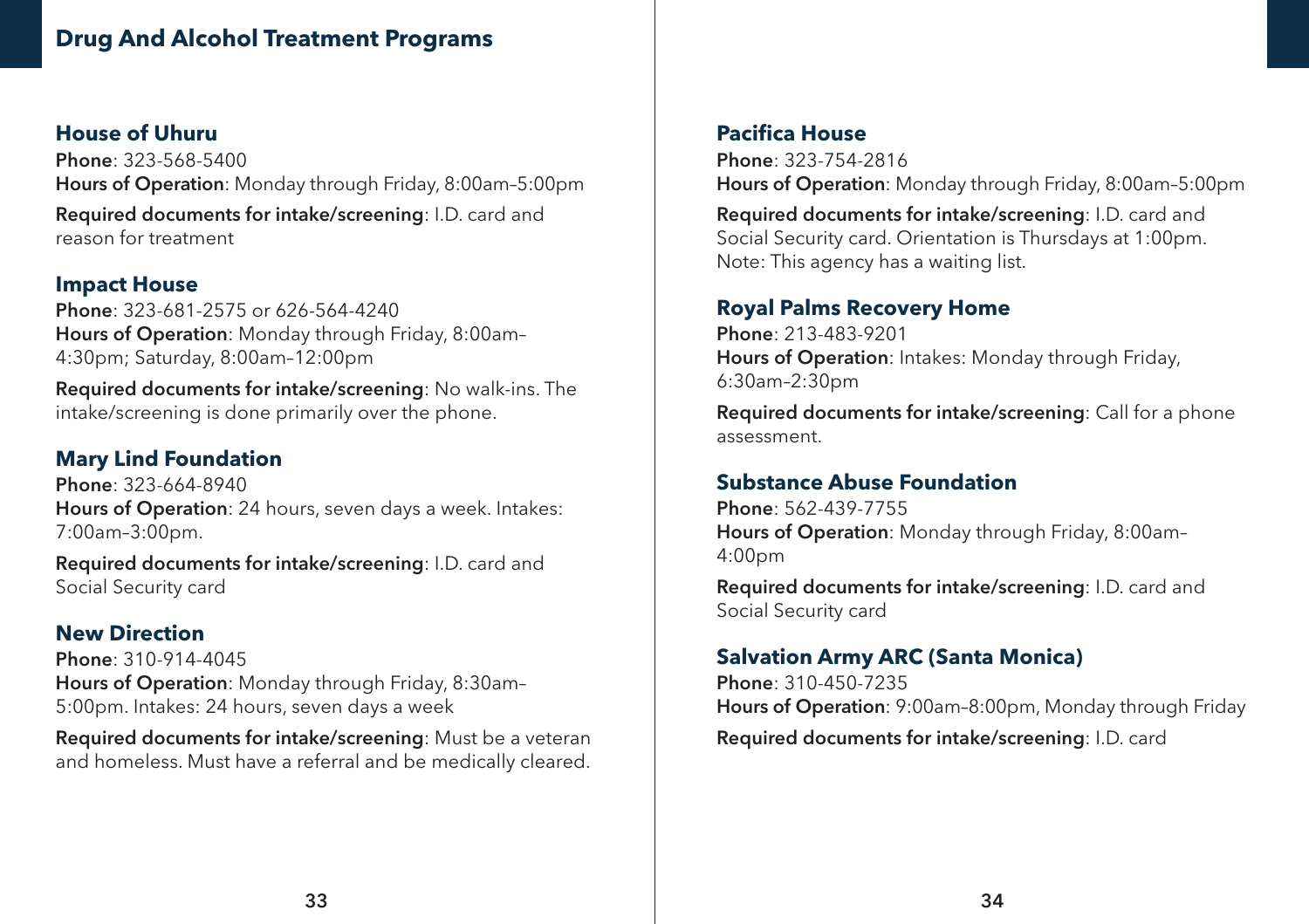#### **Drug And Alcohol Treatment Programs**

#### **House of Uhuru** Phone: 323-568-5400 Hours of Operation: Monday through Friday, 8:00am–5:00pm Required documents for intake/screening: I.D. card and reason for treatment

#### **Impact House**

Phone: 323-681-2575 or 626-564-4240 Hours of Operation: Monday through Friday, 8:00am– 4:30pm; Saturday, 8:00am–12:00pm

Required documents for intake/screening: No walk-ins. The intake/screening is done primarily over the phone.

#### **Mary Lind Foundation**

Phone: 323-664-8940 Hours of Operation: 24 hours, seven days a week. Intakes: 7:00am–3:00pm.

Required documents for intake/screening: I.D. card and Social Security card

#### **New Direction**

Phone: 310-914-4045 Hours of Operation: Monday through Friday, 8:30am– 5:00pm. Intakes: 24 hours, seven days a week

Required documents for intake/screening: Must be a veteran and homeless. Must have a referral and be medically cleared.

#### **Pacifica House**

Phone: 323-754-2816 Hours of Operation: Monday through Friday, 8:00am–5:00pm

Required documents for intake/screening: I.D. card and Social Security card. Orientation is Thursdays at 1:00pm. Note: This agency has a waiting list.

#### **Royal Palms Recovery Home**

Phone: 213-483-9201 Hours of Operation: Intakes: Monday through Friday, 6:30am–2:30pm

Required documents for intake/screening: Call for a phone assessment.

#### **Substance Abuse Foundation**

Phone: 562-439-7755 Hours of Operation: Monday through Friday, 8:00am– 4:00pm

Required documents for intake/screening: I.D. card and Social Security card

#### **Salvation Army ARC (Santa Monica)**

Phone: 310-450-7235 Hours of Operation: 9:00am–8:00pm, Monday through Friday Required documents for intake/screening: I.D. card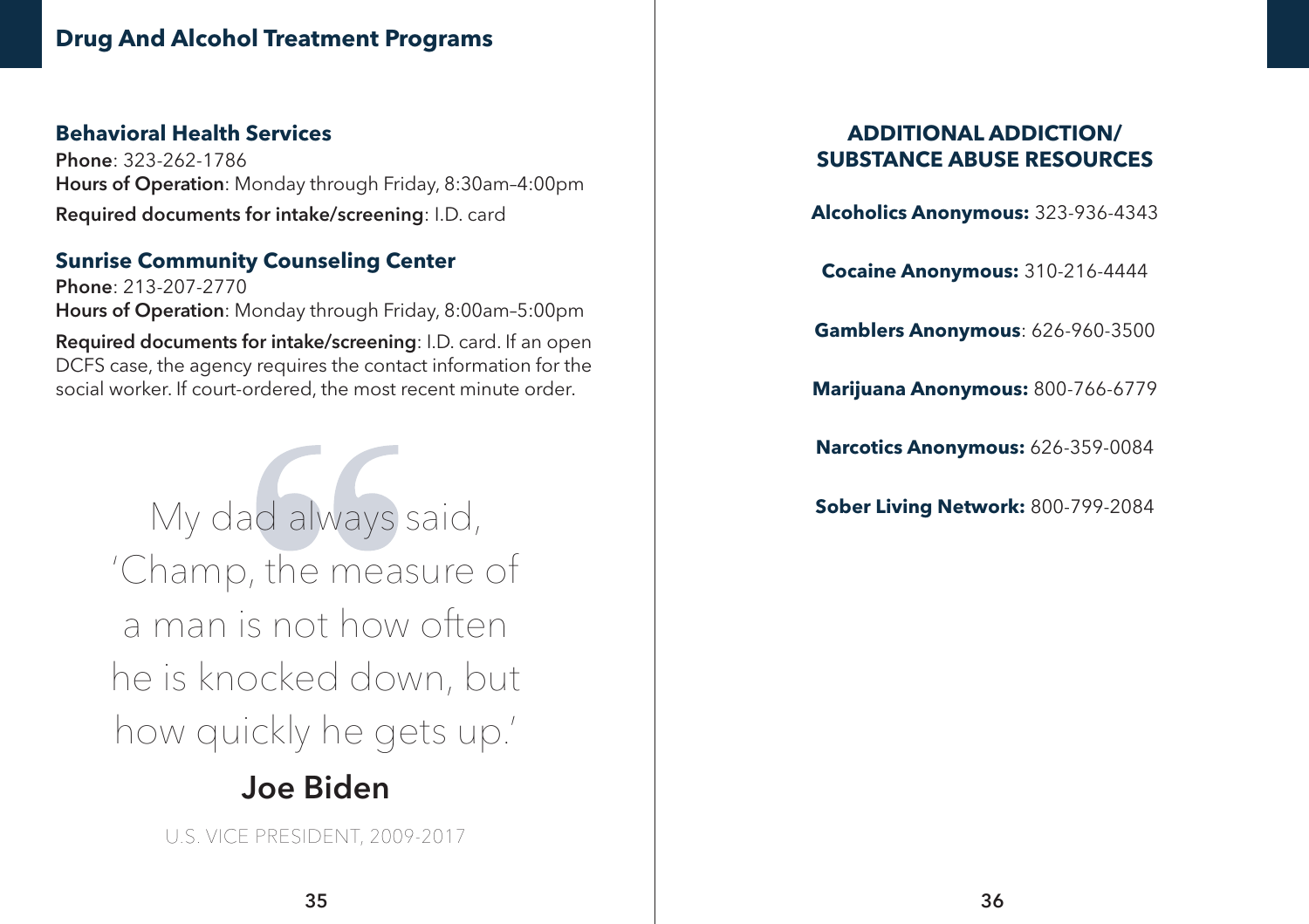#### **Drug And Alcohol Treatment Programs**

#### **Behavioral Health Services**

Phone: 323-262-1786 Hours of Operation: Monday through Friday, 8:30am–4:00pm Required documents for intake/screening: I.D. card

#### **Sunrise Community Counseling Center**

Phone: 213-207-2770 Hours of Operation: Monday through Friday, 8:00am–5:00pm Required documents for intake/screening: I.D. card. If an open DCFS case, the agency requires the contact information for the social worker. If court-ordered, the most recent minute order.

> My dad always said, **Sober Living Network:** 800-799-2084 'Champ, the measure of a man is not how often he is knocked down, but how quickly he gets up.'

# Joe Biden

U.S. VICE PRESIDENT, 2009-2017

#### **ADDITIONAL ADDICTION/ SUBSTANCE ABUSE RESOURCES**

**Alcoholics Anonymous:** 323-936-4343

**Cocaine Anonymous:** 310-216-4444

**Gamblers Anonymous**: 626-960-3500

**Marijuana Anonymous:** 800-766-6779

**Narcotics Anonymous:** 626-359-0084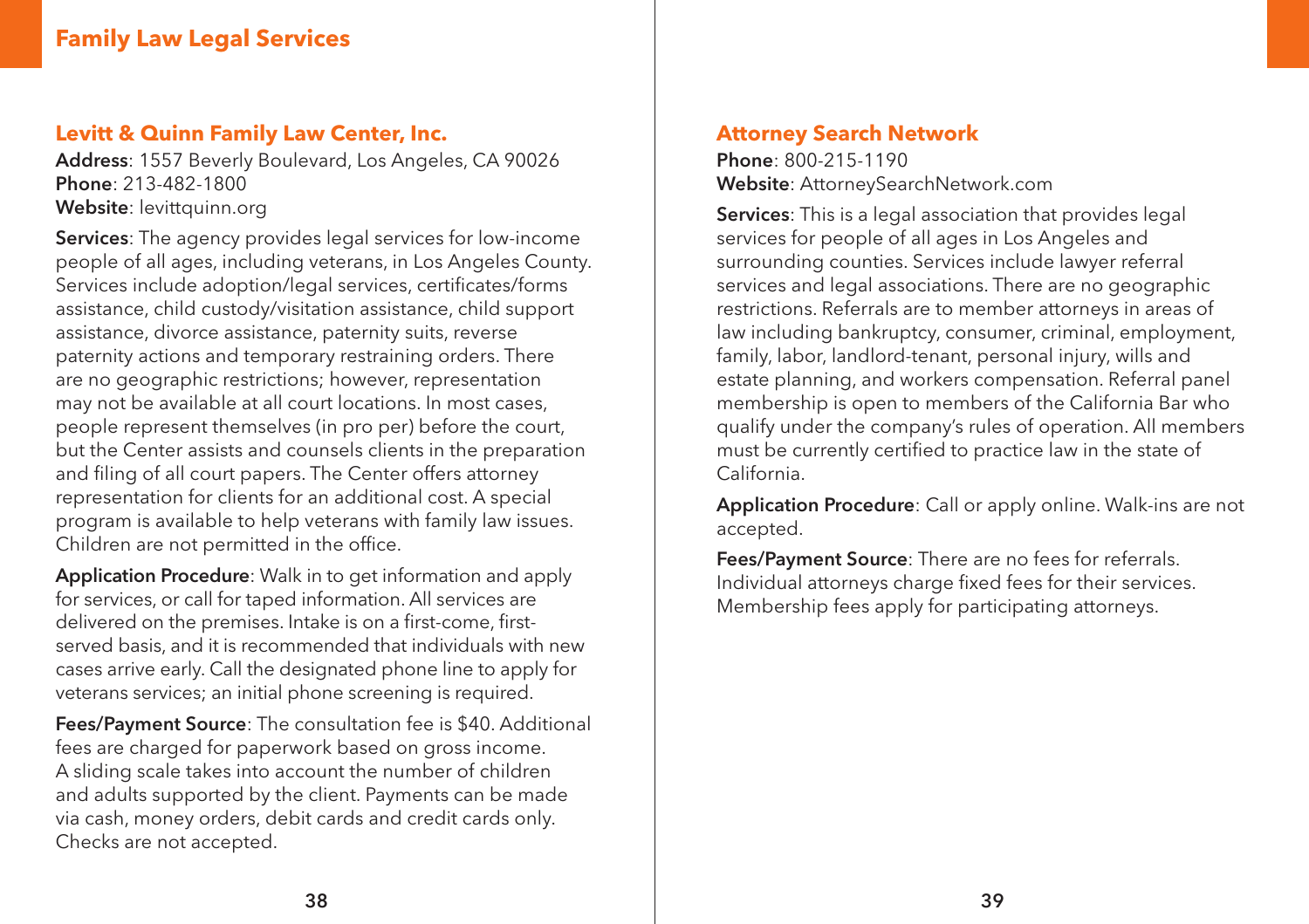#### **Family Law Legal Services**

#### **Levitt & Quinn Family Law Center, Inc.**

Address: 1557 Beverly Boulevard, Los Angeles, CA 90026 Phone: 213-482-1800 Website: levittquinn.org

Services: The agency provides legal services for low-income people of all ages, including veterans, in Los Angeles County. Services include adoption/legal services, certificates/forms assistance, child custody/visitation assistance, child support assistance, divorce assistance, paternity suits, reverse paternity actions and temporary restraining orders. There are no geographic restrictions; however, representation may not be available at all court locations. In most cases, people represent themselves (in pro per) before the court, but the Center assists and counsels clients in the preparation and filing of all court papers. The Center offers attorney representation for clients for an additional cost. A special program is available to help veterans with family law issues. Children are not permitted in the office.

Application Procedure: Walk in to get information and apply for services, or call for taped information. All services are delivered on the premises. Intake is on a first-come, firstserved basis, and it is recommended that individuals with new cases arrive early. Call the designated phone line to apply for veterans services; an initial phone screening is required.

Fees/Payment Source: The consultation fee is \$40. Additional fees are charged for paperwork based on gross income. A sliding scale takes into account the number of children and adults supported by the client. Payments can be made via cash, money orders, debit cards and credit cards only. Checks are not accepted.

#### **Attorney Search Network**

Phone: 800-215-1190 Website: AttorneySearchNetwork.com

Services: This is a legal association that provides legal services for people of all ages in Los Angeles and surrounding counties. Services include lawyer referral services and legal associations. There are no geographic restrictions. Referrals are to member attorneys in areas of law including bankruptcy, consumer, criminal, employment, family, labor, landlord-tenant, personal injury, wills and estate planning, and workers compensation. Referral panel membership is open to members of the California Bar who qualify under the company's rules of operation. All members must be currently certified to practice law in the state of California.

Application Procedure: Call or apply online. Walk-ins are not accepted.

Fees/Payment Source: There are no fees for referrals. Individual attorneys charge fixed fees for their services. Membership fees apply for participating attorneys.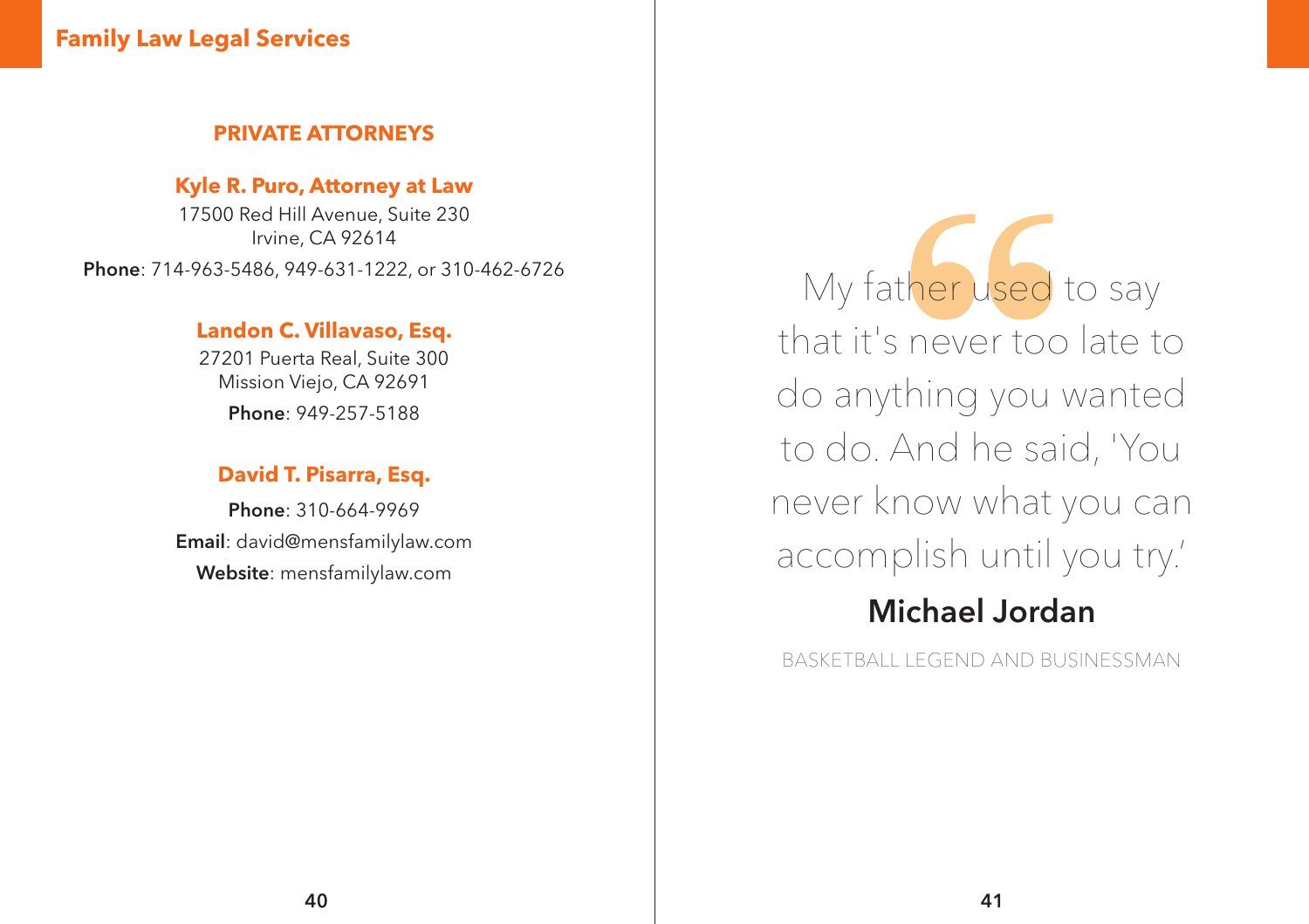#### **Family Law Legal Services**

#### **PRIVATE ATTORNEYS**

#### **Kyle R. Puro, Attorney at Law**

17500 Red Hill Avenue, Suite 230 Irvine, CA 92614 Phone: 714-963-5486, 949-631-1222, or 310-462-6726

#### **Landon C. Villavaso, Esq.**

27201 Puerta Real, Suite 300 Mission Viejo, CA 92691 Phone: 949-257-5188

#### **David T. Pisarra, Esq.**

Phone: 310-664-9969 Email: david@mensfamilylaw.com Website: mensfamilylaw.com

My father used to say that it's never too late to do anything you wanted to do. And he said, 'You never know what you can accomplish until you try.'

## Michael Jordan

BASKETBALL LEGEND AND BUSINESSMAN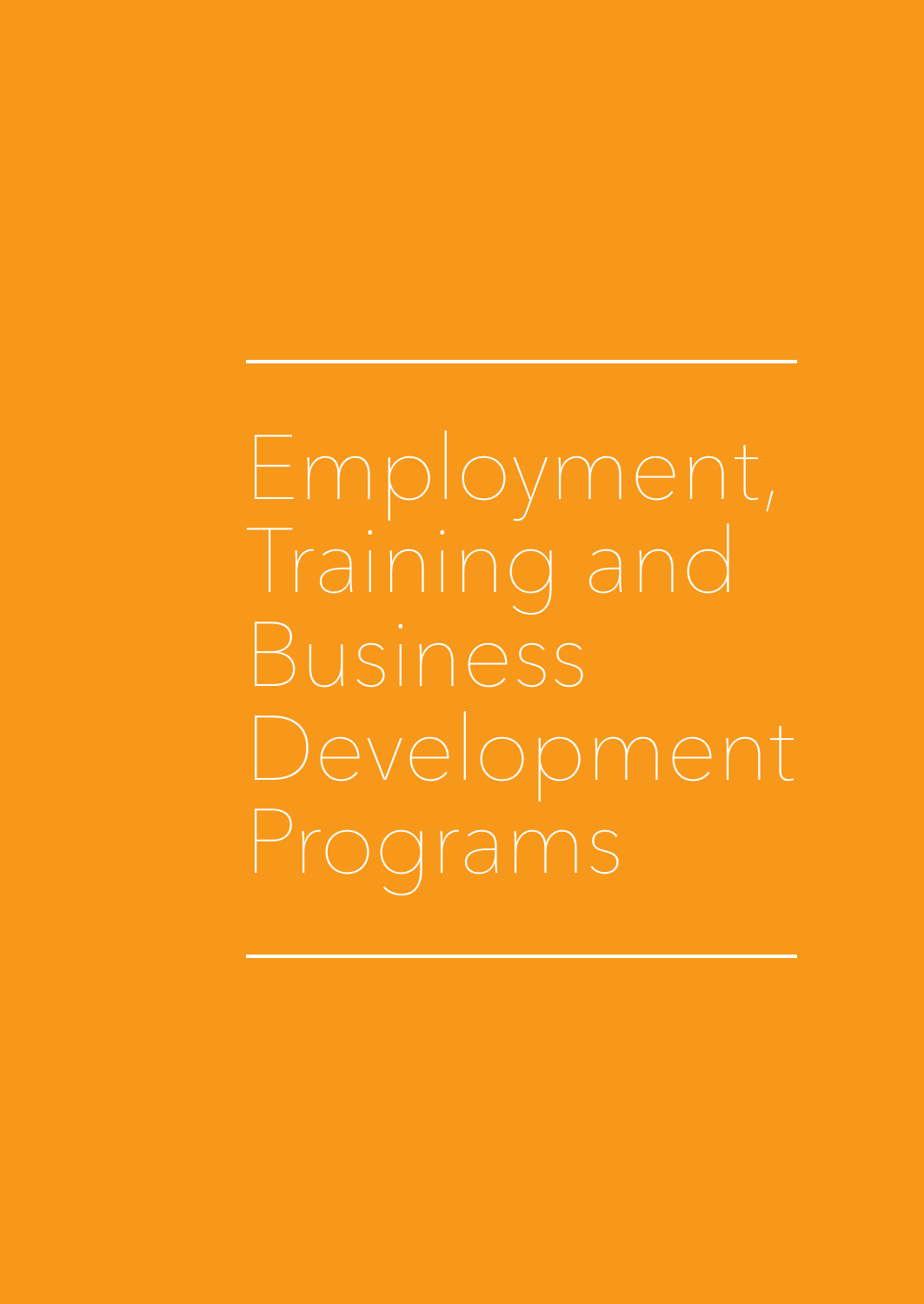Training and Business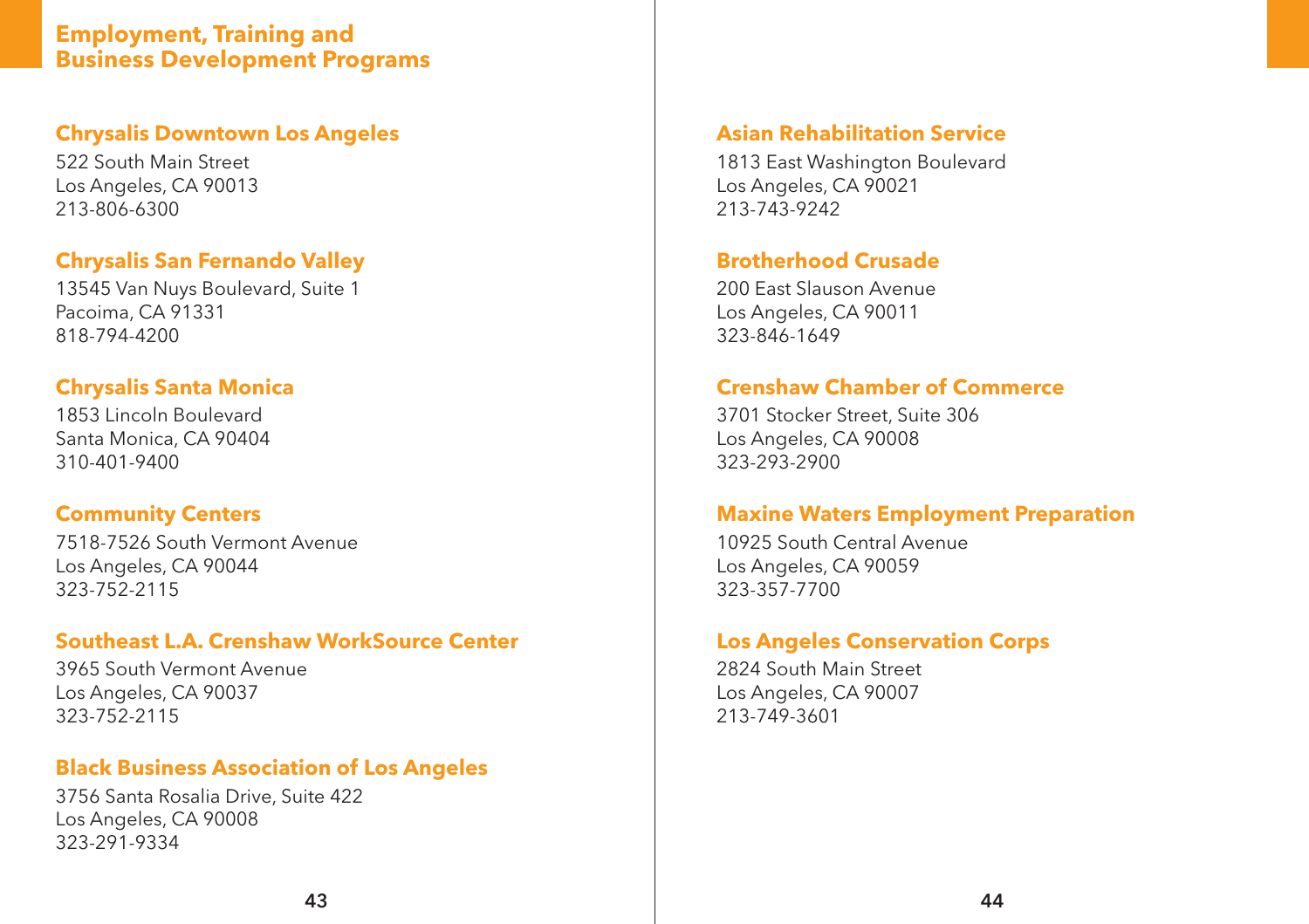#### **Employment, Training and Business Development Programs**

#### **Chrysalis Downtown Los Angeles**

522 South Main Street Los Angeles, CA 90013 213-806-6300

#### **Chrysalis San Fernando Valley**

13545 Van Nuys Boulevard, Suite 1 Pacoima, CA 91331 818-794-4200

#### **Chrysalis Santa Monica**

1853 Lincoln Boulevard Santa Monica, CA 90404 310-401-9400

#### **Community Centers**

7518-7526 South Vermont Avenue Los Angeles, CA 90044 323-752-2115

#### **Southeast L.A. Crenshaw WorkSource Center**

3965 South Vermont Avenue Los Angeles, CA 90037 323-752-2115

#### **Black Business Association of Los Angeles**

3756 Santa Rosalia Drive, Suite 422 Los Angeles, CA 90008 323-291-9334

#### **Asian Rehabilitation Service**

1813 East Washington Boulevard Los Angeles, CA 90021 213-743-9242

#### **Brotherhood Crusade**

200 East Slauson Avenue Los Angeles, CA 90011 323-846-1649

#### **Crenshaw Chamber of Commerce**

3701 Stocker Street, Suite 306 Los Angeles, CA 90008 323-293-2900

#### **Maxine Waters Employment Preparation**

10925 South Central Avenue Los Angeles, CA 90059 323-357-7700

#### **Los Angeles Conservation Corps**

2824 South Main Street Los Angeles, CA 90007 213-749-3601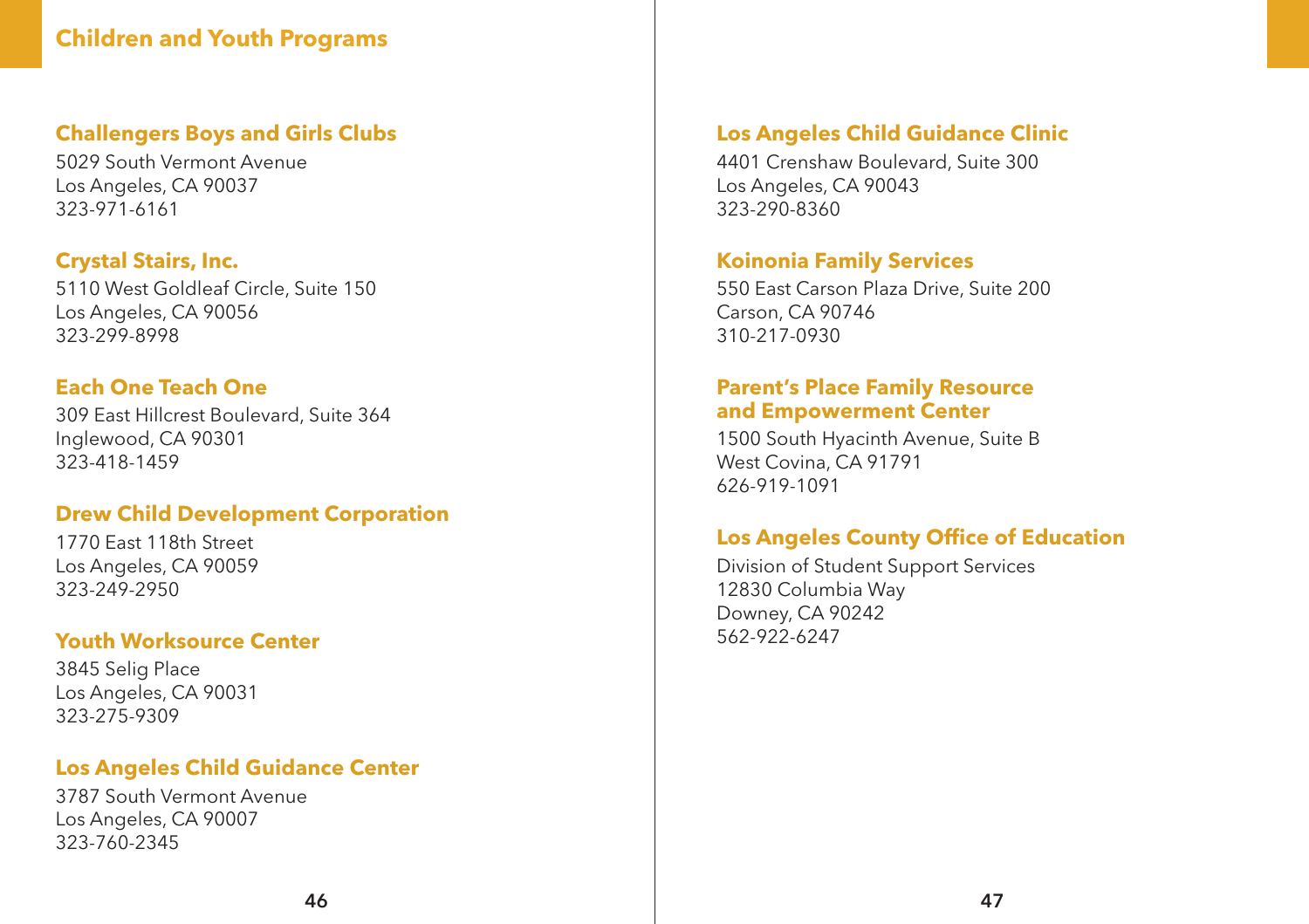#### **Children and Youth Programs**

#### **Challengers Boys and Girls Clubs**

5029 South Vermont Avenue Los Angeles, CA 90037 323-971-6161

#### **Crystal Stairs, Inc.**

5110 West Goldleaf Circle, Suite 150 Los Angeles, CA 90056 323-299-8998

#### **Each One Teach One**

309 East Hillcrest Boulevard, Suite 364 Inglewood, CA 90301 323-418-1459

#### **Drew Child Development Corporation**

1770 East 118th Street Los Angeles, CA 90059 323-249-2950

#### **Youth Worksource Center**

3845 Selig Place Los Angeles, CA 90031 323-275-9309

#### **Los Angeles Child Guidance Center**

3787 South Vermont Avenue Los Angeles, CA 90007 323-760-2345

#### **Los Angeles Child Guidance Clinic**

4401 Crenshaw Boulevard, Suite 300 Los Angeles, CA 90043 323-290-8360

#### **Koinonia Family Services**

550 East Carson Plaza Drive, Suite 200 Carson, CA 90746 310-217-0930

#### **Parent's Place Family Resource and Empowerment Center**

1500 South Hyacinth Avenue, Suite B West Covina, CA 91791 626-919-1091

#### **Los Angeles County Office of Education**

Division of Student Support Services 12830 Columbia Way Downey, CA 90242 562-922-6247